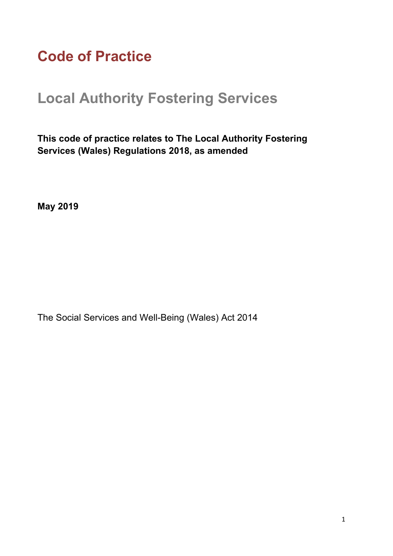# **Code of Practice**

# **Local Authority Fostering Services**

**This code of practice relates to The Local Authority Fostering Services (Wales) Regulations 2018, as amended**

**May 2019**

The Social Services and Well-Being (Wales) Act 2014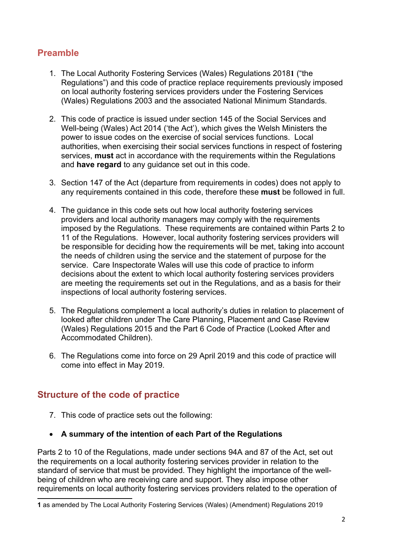### **Preamble**

- 1. The Local Authority Fostering Services (Wales) Regulations 2018**1** ("the Regulations") and this code of practice replace requirements previously imposed on local authority fostering services providers under the Fostering Services (Wales) Regulations 2003 and the associated National Minimum Standards.
- 2. This code of practice is issued under section 145 of the Social Services and Well-being (Wales) Act 2014 ('the Act'), which gives the Welsh Ministers the power to issue codes on the exercise of social services functions. Local authorities, when exercising their social services functions in respect of fostering services, **must** act in accordance with the requirements within the Regulations and **have regard** to any guidance set out in this code.
- 3. Section 147 of the Act (departure from requirements in codes) does not apply to any requirements contained in this code, therefore these **must** be followed in full.
- 4. The guidance in this code sets out how local authority fostering services providers and local authority managers may comply with the requirements imposed by the Regulations. These requirements are contained within Parts 2 to 11 of the Regulations. However, local authority fostering services providers will be responsible for deciding how the requirements will be met, taking into account the needs of children using the service and the statement of purpose for the service. Care Inspectorate Wales will use this code of practice to inform decisions about the extent to which local authority fostering services providers are meeting the requirements set out in the Regulations, and as a basis for their inspections of local authority fostering services.
- 5. The Regulations complement a local authority's duties in relation to placement of looked after children under The Care Planning, Placement and Case Review (Wales) Regulations 2015 and the Part 6 Code of Practice (Looked After and Accommodated Children).
- 6. The Regulations come into force on 29 April 2019 and this code of practice will come into effect in May 2019.

#### **Structure of the code of practice**

- 7. This code of practice sets out the following:
- **A summary of the intention of each Part of the Regulations**

Parts 2 to 10 of the Regulations, made under sections 94A and 87 of the Act, set out the requirements on a local authority fostering services provider in relation to the standard of service that must be provided. They highlight the importance of the wellbeing of children who are receiving care and support. They also impose other requirements on local authority fostering services providers related to the operation of

**<sup>1</sup>** as amended by The Local Authority Fostering Services (Wales) (Amendment) Regulations 2019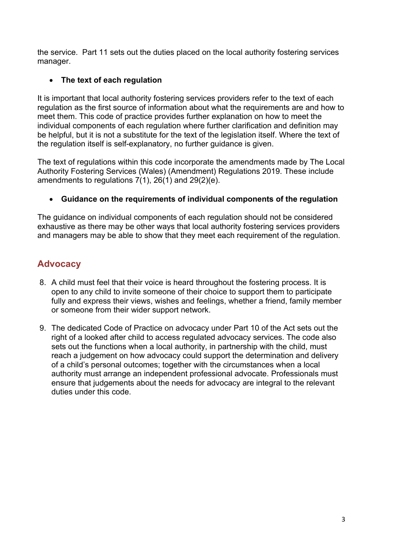the service. Part 11 sets out the duties placed on the local authority fostering services manager.

#### **The text of each regulation**

It is important that local authority fostering services providers refer to the text of each regulation as the first source of information about what the requirements are and how to meet them. This code of practice provides further explanation on how to meet the individual components of each regulation where further clarification and definition may be helpful, but it is not a substitute for the text of the legislation itself. Where the text of the regulation itself is self-explanatory, no further guidance is given.

The text of regulations within this code incorporate the amendments made by The Local Authority Fostering Services (Wales) (Amendment) Regulations 2019. These include amendments to regulations 7(1), 26(1) and 29(2)(e).

#### **Guidance on the requirements of individual components of the regulation**

The guidance on individual components of each regulation should not be considered exhaustive as there may be other ways that local authority fostering services providers and managers may be able to show that they meet each requirement of the regulation.

### **Advocacy**

- 8. A child must feel that their voice is heard throughout the fostering process. It is open to any child to invite someone of their choice to support them to participate fully and express their views, wishes and feelings, whether a friend, family member or someone from their wider support network.
- 9. The dedicated Code of Practice on advocacy under Part 10 of the Act sets out the right of a looked after child to access regulated advocacy services. The code also sets out the functions when a local authority, in partnership with the child, must reach a judgement on how advocacy could support the determination and delivery of a child's personal outcomes; together with the circumstances when a local authority must arrange an independent professional advocate. Professionals must ensure that judgements about the needs for advocacy are integral to the relevant duties under this code.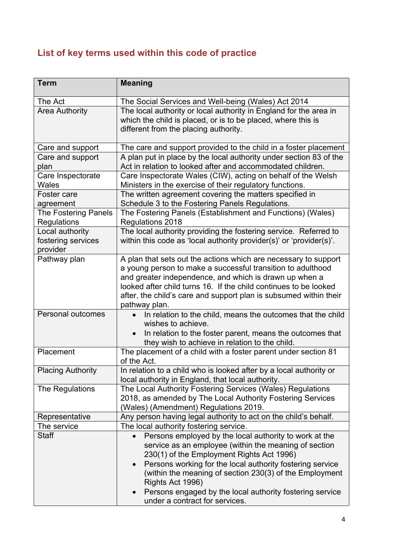# **List of key terms used within this code of practice**

| <b>Term</b>                                | <b>Meaning</b>                                                                                                             |
|--------------------------------------------|----------------------------------------------------------------------------------------------------------------------------|
| The Act                                    | The Social Services and Well-being (Wales) Act 2014                                                                        |
| <b>Area Authority</b>                      | The local authority or local authority in England for the area in                                                          |
|                                            | which the child is placed, or is to be placed, where this is                                                               |
|                                            | different from the placing authority.                                                                                      |
| Care and support                           | The care and support provided to the child in a foster placement                                                           |
| Care and support                           | A plan put in place by the local authority under section 83 of the                                                         |
| plan                                       | Act in relation to looked after and accommodated children.                                                                 |
| Care Inspectorate                          | Care Inspectorate Wales (CIW), acting on behalf of the Welsh                                                               |
| <b>Wales</b>                               | Ministers in the exercise of their regulatory functions.                                                                   |
| Foster care                                | The written agreement covering the matters specified in                                                                    |
| agreement                                  | Schedule 3 to the Fostering Panels Regulations.                                                                            |
| <b>The Fostering Panels</b><br>Regulations | The Fostering Panels (Establishment and Functions) (Wales)<br>Regulations 2018                                             |
| Local authority                            | The local authority providing the fostering service. Referred to                                                           |
| fostering services                         | within this code as 'local authority provider(s)' or 'provider(s)'.                                                        |
| provider                                   |                                                                                                                            |
| Pathway plan                               | A plan that sets out the actions which are necessary to support                                                            |
|                                            | a young person to make a successful transition to adulthood                                                                |
|                                            | and greater independence, and which is drawn up when a<br>looked after child turns 16. If the child continues to be looked |
|                                            |                                                                                                                            |
|                                            | after, the child's care and support plan is subsumed within their<br>pathway plan.                                         |
| Personal outcomes                          | In relation to the child, means the outcomes that the child                                                                |
|                                            | wishes to achieve.                                                                                                         |
|                                            | In relation to the foster parent, means the outcomes that<br>they wish to achieve in relation to the child.                |
| Placement                                  | The placement of a child with a foster parent under section 81<br>of the Act.                                              |
|                                            | In relation to a child who is looked after by a local authority or                                                         |
| <b>Placing Authority</b>                   | local authority in England, that local authority.                                                                          |
| The Regulations                            | The Local Authority Fostering Services (Wales) Regulations                                                                 |
|                                            | 2018, as amended by The Local Authority Fostering Services                                                                 |
|                                            | (Wales) (Amendment) Regulations 2019.                                                                                      |
| Representative                             | Any person having legal authority to act on the child's behalf.                                                            |
| The service                                | The local authority fostering service.                                                                                     |
| <b>Staff</b>                               | Persons employed by the local authority to work at the                                                                     |
|                                            | service as an employee (within the meaning of section<br>230(1) of the Employment Rights Act 1996)                         |
|                                            | Persons working for the local authority fostering service                                                                  |
|                                            | (within the meaning of section 230(3) of the Employment                                                                    |
|                                            | Rights Act 1996)                                                                                                           |
|                                            | Persons engaged by the local authority fostering service                                                                   |
|                                            | under a contract for services.                                                                                             |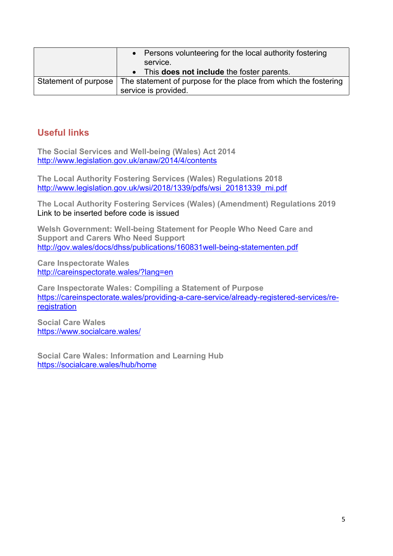|                      | • Persons volunteering for the local authority fostering<br>service.<br>• This <b>does not include</b> the foster parents. |
|----------------------|----------------------------------------------------------------------------------------------------------------------------|
| Statement of purpose | The statement of purpose for the place from which the fostering<br>service is provided.                                    |

#### **Useful links**

**The Social Services and Well-being (Wales) Act 2014** <http://www.legislation.gov.uk/anaw/2014/4/contents>

**The Local Authority Fostering Services (Wales) Regulations 2018** [http://www.legislation.gov.uk/wsi/2018/1339/pdfs/wsi\\_20181339\\_mi.pdf](http://www.legislation.gov.uk/wsi/2018/1339/pdfs/wsi_20181339_mi.pdf)

**The Local Authority Fostering Services (Wales) (Amendment) Regulations 2019** Link to be inserted before code is issued

**Welsh Government: Well-being Statement for People Who Need Care and Support and Carers Who Need Support** <http://gov.wales/docs/dhss/publications/160831well-being-statementen.pdf>

**Care Inspectorate Wales** <http://careinspectorate.wales/?lang=en>

**Care Inspectorate Wales: Compiling a Statement of Purpose** [https://careinspectorate.wales/providing-a-care-service/already-registered-services/re](https://careinspectorate.wales/providing-a-care-service/already-registered-services/re-registration)[registration](https://careinspectorate.wales/providing-a-care-service/already-registered-services/re-registration)

**Social Care Wales** <https://www.socialcare.wales/>

**Social Care Wales: Information and Learning Hub** <https://socialcare.wales/hub/home>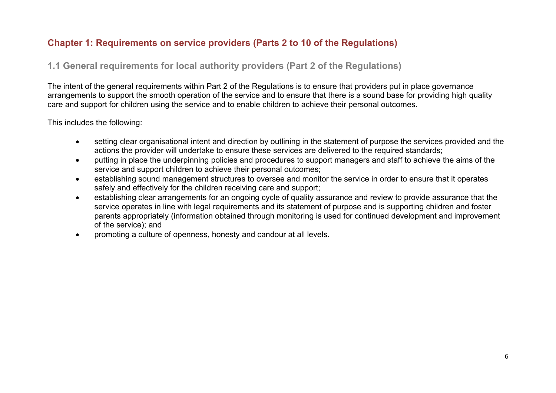#### **Chapter 1: Requirements on service providers (Parts 2 to 10 of the Regulations)**

#### **1.1 General requirements for local authority providers (Part 2 of the Regulations)**

The intent of the general requirements within Part 2 of the Regulations is to ensure that providers put in place governance arrangements to support the smooth operation of the service and to ensure that there is a sound base for providing high quality care and support for children using the service and to enable children to achieve their personal outcomes.

#### This includes the following:

- setting clear organisational intent and direction by outlining in the statement of purpose the services provided and the actions the provider will undertake to ensure these services are delivered to the required standards;
- putting in place the underpinning policies and procedures to support managers and staff to achieve the aims of the service and support children to achieve their personal outcomes;
- establishing sound management structures to oversee and monitor the service in order to ensure that it operates safely and effectively for the children receiving care and support;
- establishing clear arrangements for an ongoing cycle of quality assurance and review to provide assurance that the service operates in line with legal requirements and its statement of purpose and is supporting children and foster parents appropriately (information obtained through monitoring is used for continued development and improvement of the service); and
- promoting a culture of openness, honesty and candour at all levels.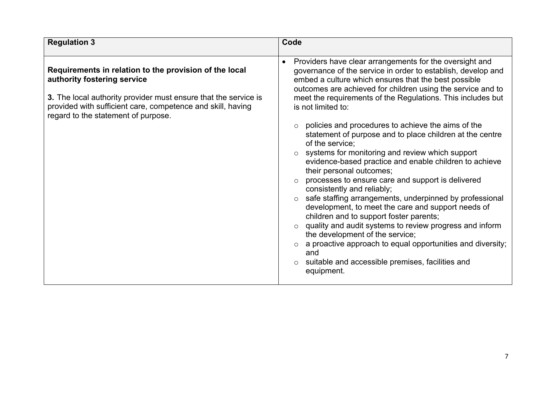| <b>Regulation 3</b>                                                                                                                                                                                                                                            | Code                                                                                                                                                                                                                                                                                                                                                                                                                                                                                                                                                                                                                                                                                                                                                                                                                                                                                                                                                                                                                                                                                    |
|----------------------------------------------------------------------------------------------------------------------------------------------------------------------------------------------------------------------------------------------------------------|-----------------------------------------------------------------------------------------------------------------------------------------------------------------------------------------------------------------------------------------------------------------------------------------------------------------------------------------------------------------------------------------------------------------------------------------------------------------------------------------------------------------------------------------------------------------------------------------------------------------------------------------------------------------------------------------------------------------------------------------------------------------------------------------------------------------------------------------------------------------------------------------------------------------------------------------------------------------------------------------------------------------------------------------------------------------------------------------|
| Requirements in relation to the provision of the local<br>authority fostering service<br>3. The local authority provider must ensure that the service is<br>provided with sufficient care, competence and skill, having<br>regard to the statement of purpose. | Providers have clear arrangements for the oversight and<br>governance of the service in order to establish, develop and<br>embed a culture which ensures that the best possible<br>outcomes are achieved for children using the service and to<br>meet the requirements of the Regulations. This includes but<br>is not limited to:<br>policies and procedures to achieve the aims of the<br>statement of purpose and to place children at the centre<br>of the service;<br>systems for monitoring and review which support<br>evidence-based practice and enable children to achieve<br>their personal outcomes;<br>processes to ensure care and support is delivered<br>consistently and reliably;<br>safe staffing arrangements, underpinned by professional<br>development, to meet the care and support needs of<br>children and to support foster parents;<br>quality and audit systems to review progress and inform<br>the development of the service;<br>a proactive approach to equal opportunities and diversity;<br>and<br>suitable and accessible premises, facilities and |
|                                                                                                                                                                                                                                                                | equipment.                                                                                                                                                                                                                                                                                                                                                                                                                                                                                                                                                                                                                                                                                                                                                                                                                                                                                                                                                                                                                                                                              |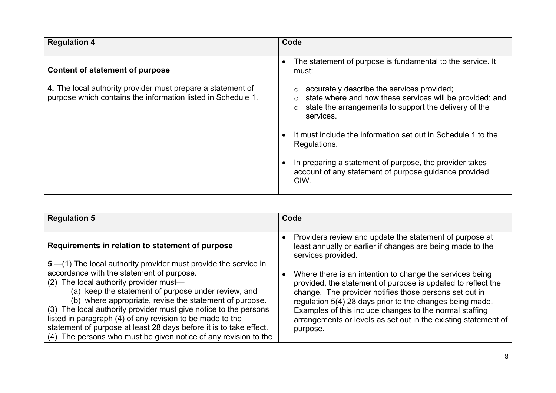| <b>Regulation 4</b>                                                                                                         | Code                                                                                                                                                                                    |
|-----------------------------------------------------------------------------------------------------------------------------|-----------------------------------------------------------------------------------------------------------------------------------------------------------------------------------------|
| <b>Content of statement of purpose</b>                                                                                      | The statement of purpose is fundamental to the service. It<br>$\bullet$<br>must:                                                                                                        |
| 4. The local authority provider must prepare a statement of<br>purpose which contains the information listed in Schedule 1. | accurately describe the services provided;<br>state where and how these services will be provided; and<br>state the arrangements to support the delivery of the<br>$\circ$<br>services. |
|                                                                                                                             | It must include the information set out in Schedule 1 to the<br>Regulations.                                                                                                            |
|                                                                                                                             | In preparing a statement of purpose, the provider takes<br>account of any statement of purpose guidance provided<br>CIW.                                                                |

| <b>Regulation 5</b>                                                                                                                                                                                                                                                                                                                                                                                                                                                                                                                                 | Code                                                                                                                                                                                                                                                                                                                                                                                    |
|-----------------------------------------------------------------------------------------------------------------------------------------------------------------------------------------------------------------------------------------------------------------------------------------------------------------------------------------------------------------------------------------------------------------------------------------------------------------------------------------------------------------------------------------------------|-----------------------------------------------------------------------------------------------------------------------------------------------------------------------------------------------------------------------------------------------------------------------------------------------------------------------------------------------------------------------------------------|
| Requirements in relation to statement of purpose                                                                                                                                                                                                                                                                                                                                                                                                                                                                                                    | Providers review and update the statement of purpose at<br>least annually or earlier if changes are being made to the<br>services provided.                                                                                                                                                                                                                                             |
| 5 – (1) The local authority provider must provide the service in<br>accordance with the statement of purpose.<br>(2) The local authority provider must-<br>(a) keep the statement of purpose under review, and<br>(b) where appropriate, revise the statement of purpose.<br>(3) The local authority provider must give notice to the persons<br>listed in paragraph (4) of any revision to be made to the<br>statement of purpose at least 28 days before it is to take effect.<br>(4) The persons who must be given notice of any revision to the | Where there is an intention to change the services being<br>provided, the statement of purpose is updated to reflect the<br>change. The provider notifies those persons set out in<br>regulation 5(4) 28 days prior to the changes being made.<br>Examples of this include changes to the normal staffing<br>arrangements or levels as set out in the existing statement of<br>purpose. |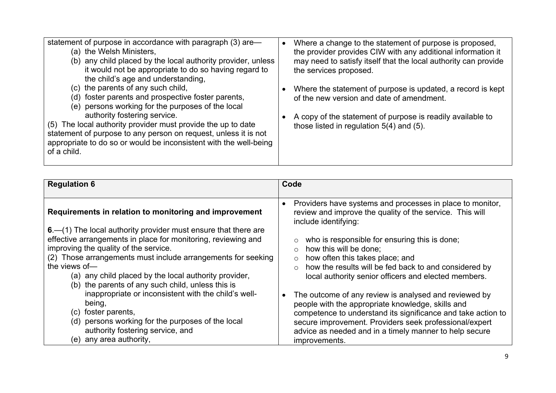| statement of purpose in accordance with paragraph (3) are—<br>(a) the Welsh Ministers,<br>(b) any child placed by the local authority provider, unless<br>it would not be appropriate to do so having regard to<br>the child's age and understanding,                                                                                                                                                | Where a change to the statement of purpose is proposed,<br>the provider provides CIW with any additional information it<br>may need to satisfy itself that the local authority can provide<br>the services proposed. |
|------------------------------------------------------------------------------------------------------------------------------------------------------------------------------------------------------------------------------------------------------------------------------------------------------------------------------------------------------------------------------------------------------|----------------------------------------------------------------------------------------------------------------------------------------------------------------------------------------------------------------------|
| (c) the parents of any such child,<br>(d) foster parents and prospective foster parents,<br>(e) persons working for the purposes of the local<br>authority fostering service.<br>(5) The local authority provider must provide the up to date<br>statement of purpose to any person on request, unless it is not<br>appropriate to do so or would be inconsistent with the well-being<br>of a child. | Where the statement of purpose is updated, a record is kept<br>of the new version and date of amendment.<br>A copy of the statement of purpose is readily available to<br>those listed in regulation 5(4) and (5).   |

| <b>Regulation 6</b>                                                                                                                                                                                                                                                                                                                                                             | Code                                                                                                                                                                                                                                                                                                                                                                                               |
|---------------------------------------------------------------------------------------------------------------------------------------------------------------------------------------------------------------------------------------------------------------------------------------------------------------------------------------------------------------------------------|----------------------------------------------------------------------------------------------------------------------------------------------------------------------------------------------------------------------------------------------------------------------------------------------------------------------------------------------------------------------------------------------------|
| Requirements in relation to monitoring and improvement<br>$6 - (1)$ The local authority provider must ensure that there are<br>effective arrangements in place for monitoring, reviewing and<br>improving the quality of the service.<br>(2) Those arrangements must include arrangements for seeking<br>the views of-<br>(a) any child placed by the local authority provider, | Providers have systems and processes in place to monitor,<br>review and improve the quality of the service. This will<br>include identifying:<br>who is responsible for ensuring this is done;<br>how this will be done;<br>how often this takes place; and<br>$\circ$<br>how the results will be fed back to and considered by<br>$\circ$<br>local authority senior officers and elected members. |
| (b) the parents of any such child, unless this is<br>inappropriate or inconsistent with the child's well-<br>being,<br>foster parents,<br>(C).<br>persons working for the purposes of the local<br>(d)<br>authority fostering service, and<br>any area authority,<br>(e)                                                                                                        | The outcome of any review is analysed and reviewed by<br>people with the appropriate knowledge, skills and<br>competence to understand its significance and take action to<br>secure improvement. Providers seek professional/expert<br>advice as needed and in a timely manner to help secure<br>improvements.                                                                                    |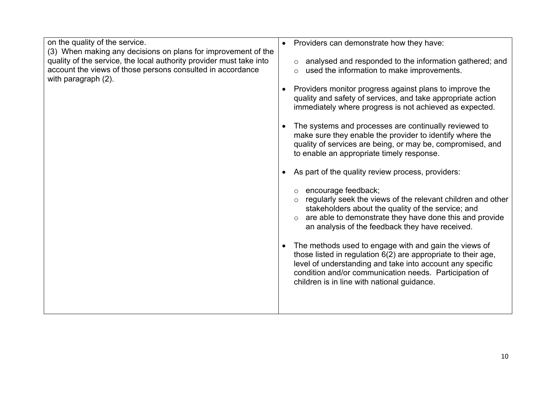| on the quality of the service.<br>(3) When making any decisions on plans for improvement of the<br>quality of the service, the local authority provider must take into<br>account the views of those persons consulted in accordance<br>with paragraph (2). | Providers can demonstrate how they have:<br>$\bullet$<br>analysed and responded to the information gathered; and<br>$\circ$<br>used the information to make improvements.<br>$\circ$<br>Providers monitor progress against plans to improve the<br>quality and safety of services, and take appropriate action<br>immediately where progress is not achieved as expected.<br>The systems and processes are continually reviewed to<br>make sure they enable the provider to identify where the<br>quality of services are being, or may be, compromised, and<br>to enable an appropriate timely response.<br>As part of the quality review process, providers:<br>encourage feedback;<br>regularly seek the views of the relevant children and other<br>$\circ$<br>stakeholders about the quality of the service; and<br>are able to demonstrate they have done this and provide<br>an analysis of the feedback they have received.<br>The methods used to engage with and gain the views of<br>those listed in regulation 6(2) are appropriate to their age,<br>level of understanding and take into account any specific<br>condition and/or communication needs. Participation of<br>children is in line with national guidance. |
|-------------------------------------------------------------------------------------------------------------------------------------------------------------------------------------------------------------------------------------------------------------|-------------------------------------------------------------------------------------------------------------------------------------------------------------------------------------------------------------------------------------------------------------------------------------------------------------------------------------------------------------------------------------------------------------------------------------------------------------------------------------------------------------------------------------------------------------------------------------------------------------------------------------------------------------------------------------------------------------------------------------------------------------------------------------------------------------------------------------------------------------------------------------------------------------------------------------------------------------------------------------------------------------------------------------------------------------------------------------------------------------------------------------------------------------------------------------------------------------------------------------|
|                                                                                                                                                                                                                                                             |                                                                                                                                                                                                                                                                                                                                                                                                                                                                                                                                                                                                                                                                                                                                                                                                                                                                                                                                                                                                                                                                                                                                                                                                                                     |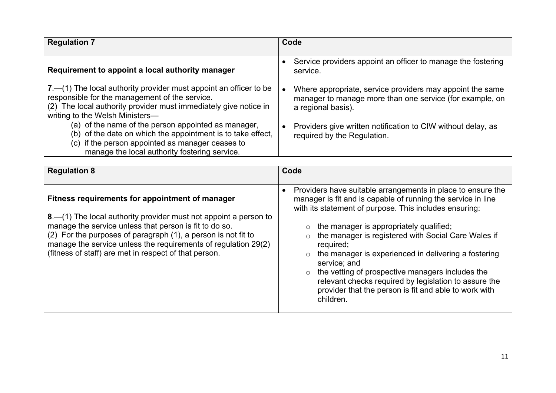| <b>Regulation 7</b>                                                                                                                                                                                                          | Code                                                                                                                                        |
|------------------------------------------------------------------------------------------------------------------------------------------------------------------------------------------------------------------------------|---------------------------------------------------------------------------------------------------------------------------------------------|
| Requirement to appoint a local authority manager                                                                                                                                                                             | Service providers appoint an officer to manage the fostering<br>service.                                                                    |
| 7. - (1) The local authority provider must appoint an officer to be<br>responsible for the management of the service.<br>(2) The local authority provider must immediately give notice in<br>writing to the Welsh Ministers- | Where appropriate, service providers may appoint the same<br>manager to manage more than one service (for example, on<br>a regional basis). |
| (a) of the name of the person appointed as manager,<br>(b) of the date on which the appointment is to take effect,<br>(c) if the person appointed as manager ceases to<br>manage the local authority fostering service.      | Providers give written notification to CIW without delay, as<br>required by the Regulation.                                                 |

| <b>Regulation 8</b>                                                                                                                                                                                                                                                                                                                                                         | Code                                                                                                                                                                                                                                                                                                                                                                                                                                                                                                                                                                                               |
|-----------------------------------------------------------------------------------------------------------------------------------------------------------------------------------------------------------------------------------------------------------------------------------------------------------------------------------------------------------------------------|----------------------------------------------------------------------------------------------------------------------------------------------------------------------------------------------------------------------------------------------------------------------------------------------------------------------------------------------------------------------------------------------------------------------------------------------------------------------------------------------------------------------------------------------------------------------------------------------------|
| Fitness requirements for appointment of manager<br>8. - (1) The local authority provider must not appoint a person to<br>manage the service unless that person is fit to do so.<br>(2) For the purposes of paragraph (1), a person is not fit to<br>manage the service unless the requirements of regulation 29(2)<br>(fitness of staff) are met in respect of that person. | Providers have suitable arrangements in place to ensure the<br>$\bullet$<br>manager is fit and is capable of running the service in line<br>with its statement of purpose. This includes ensuring:<br>the manager is appropriately qualified;<br>$\circ$<br>the manager is registered with Social Care Wales if<br>required;<br>the manager is experienced in delivering a fostering<br>$\circ$<br>service; and<br>the vetting of prospective managers includes the<br>relevant checks required by legislation to assure the<br>provider that the person is fit and able to work with<br>children. |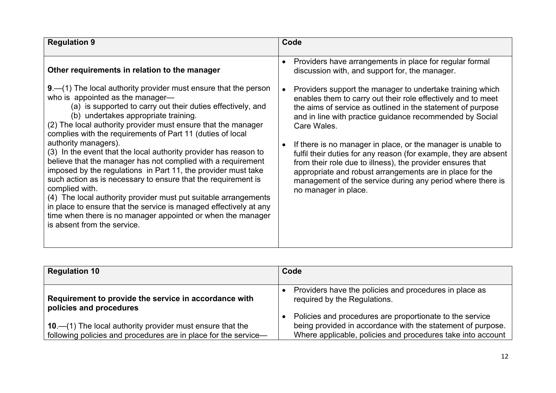| <b>Regulation 9</b>                                                                                                                                                                                                                                                                                                                                                                                                                                                                                                                                                                                                                                                                                                                                                                                                                                                                                | Code                                                                                                                                                                                                                                                                                                                                                                                                                                                                                                                                                                                                                    |
|----------------------------------------------------------------------------------------------------------------------------------------------------------------------------------------------------------------------------------------------------------------------------------------------------------------------------------------------------------------------------------------------------------------------------------------------------------------------------------------------------------------------------------------------------------------------------------------------------------------------------------------------------------------------------------------------------------------------------------------------------------------------------------------------------------------------------------------------------------------------------------------------------|-------------------------------------------------------------------------------------------------------------------------------------------------------------------------------------------------------------------------------------------------------------------------------------------------------------------------------------------------------------------------------------------------------------------------------------------------------------------------------------------------------------------------------------------------------------------------------------------------------------------------|
| Other requirements in relation to the manager                                                                                                                                                                                                                                                                                                                                                                                                                                                                                                                                                                                                                                                                                                                                                                                                                                                      | Providers have arrangements in place for regular formal<br>$\bullet$<br>discussion with, and support for, the manager.                                                                                                                                                                                                                                                                                                                                                                                                                                                                                                  |
| $9 - (1)$ The local authority provider must ensure that the person<br>who is appointed as the manager-<br>(a) is supported to carry out their duties effectively, and<br>(b) undertakes appropriate training.<br>(2) The local authority provider must ensure that the manager<br>complies with the requirements of Part 11 (duties of local<br>authority managers).<br>(3) In the event that the local authority provider has reason to<br>believe that the manager has not complied with a requirement<br>imposed by the regulations in Part 11, the provider must take<br>such action as is necessary to ensure that the requirement is<br>complied with.<br>(4) The local authority provider must put suitable arrangements<br>in place to ensure that the service is managed effectively at any<br>time when there is no manager appointed or when the manager<br>is absent from the service. | Providers support the manager to undertake training which<br>enables them to carry out their role effectively and to meet<br>the aims of service as outlined in the statement of purpose<br>and in line with practice guidance recommended by Social<br>Care Wales.<br>If there is no manager in place, or the manager is unable to<br>fulfil their duties for any reason (for example, they are absent<br>from their role due to illness), the provider ensures that<br>appropriate and robust arrangements are in place for the<br>management of the service during any period where there is<br>no manager in place. |

| <b>Regulation 10</b>                                                                                                             | Code                                                                                                                    |
|----------------------------------------------------------------------------------------------------------------------------------|-------------------------------------------------------------------------------------------------------------------------|
| Requirement to provide the service in accordance with<br>policies and procedures                                                 | Providers have the policies and procedures in place as<br>required by the Regulations.                                  |
|                                                                                                                                  | Policies and procedures are proportionate to the service<br>being provided in accordance with the statement of purpose. |
| 10. $-$ (1) The local authority provider must ensure that the<br>following policies and procedures are in place for the service- | Where applicable, policies and procedures take into account                                                             |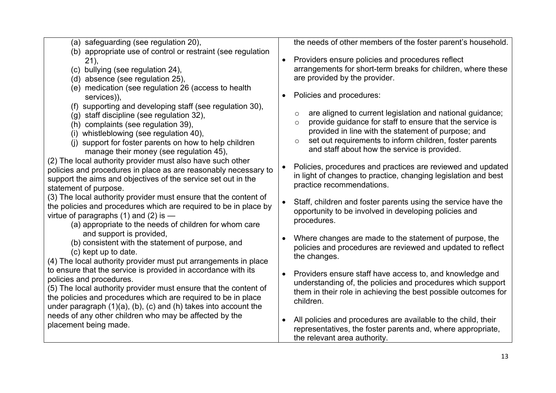| (a) safeguarding (see regulation 20),                                                                                                                                                                                                                                                                       | the needs of other members of the foster parent's household.                                                                                                                                                                                                                                                       |
|-------------------------------------------------------------------------------------------------------------------------------------------------------------------------------------------------------------------------------------------------------------------------------------------------------------|--------------------------------------------------------------------------------------------------------------------------------------------------------------------------------------------------------------------------------------------------------------------------------------------------------------------|
| (b) appropriate use of control or restraint (see regulation<br>21,<br>(c) bullying (see regulation 24),<br>(d) absence (see regulation 25),                                                                                                                                                                 | Providers ensure policies and procedures reflect<br>$\bullet$<br>arrangements for short-term breaks for children, where these<br>are provided by the provider.                                                                                                                                                     |
| (e) medication (see regulation 26 (access to health<br>services)),                                                                                                                                                                                                                                          | Policies and procedures:                                                                                                                                                                                                                                                                                           |
| (f) supporting and developing staff (see regulation 30),<br>(g) staff discipline (see regulation 32),<br>(h) complaints (see regulation 39),<br>(i) whistleblowing (see regulation 40),<br>(i) support for foster parents on how to help children<br>manage their money (see regulation 45),                | are aligned to current legislation and national guidance;<br>O<br>provide guidance for staff to ensure that the service is<br>$\circ$<br>provided in line with the statement of purpose; and<br>set out requirements to inform children, foster parents<br>$\circ$<br>and staff about how the service is provided. |
| (2) The local authority provider must also have such other<br>policies and procedures in place as are reasonably necessary to<br>support the aims and objectives of the service set out in the<br>statement of purpose.                                                                                     | Policies, procedures and practices are reviewed and updated<br>$\bullet$<br>in light of changes to practice, changing legislation and best<br>practice recommendations.                                                                                                                                            |
| (3) The local authority provider must ensure that the content of<br>the policies and procedures which are required to be in place by<br>virtue of paragraphs $(1)$ and $(2)$ is $-$<br>(a) appropriate to the needs of children for whom care                                                               | Staff, children and foster parents using the service have the<br>opportunity to be involved in developing policies and<br>procedures.                                                                                                                                                                              |
| and support is provided,<br>(b) consistent with the statement of purpose, and<br>(c) kept up to date.<br>(4) The local authority provider must put arrangements in place                                                                                                                                    | Where changes are made to the statement of purpose, the<br>policies and procedures are reviewed and updated to reflect<br>the changes.                                                                                                                                                                             |
| to ensure that the service is provided in accordance with its<br>policies and procedures.<br>(5) The local authority provider must ensure that the content of<br>the policies and procedures which are required to be in place<br>under paragraph $(1)(a)$ , $(b)$ , $(c)$ and $(h)$ takes into account the | Providers ensure staff have access to, and knowledge and<br>$\bullet$<br>understanding of, the policies and procedures which support<br>them in their role in achieving the best possible outcomes for<br>children.                                                                                                |
| needs of any other children who may be affected by the<br>placement being made.                                                                                                                                                                                                                             | All policies and procedures are available to the child, their<br>$\bullet$<br>representatives, the foster parents and, where appropriate,<br>the relevant area authority.                                                                                                                                          |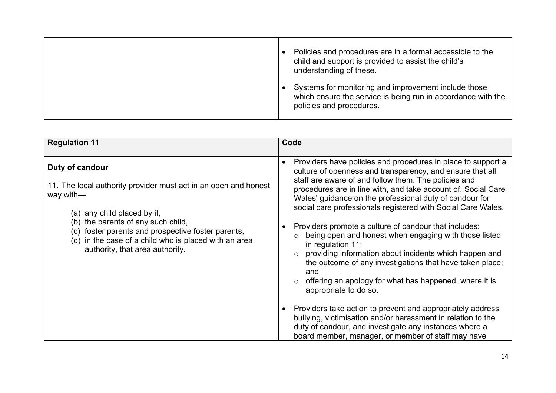| Policies and procedures are in a format accessible to the<br>child and support is provided to assist the child's<br>understanding of these.      |
|--------------------------------------------------------------------------------------------------------------------------------------------------|
| Systems for monitoring and improvement include those<br>which ensure the service is being run in accordance with the<br>policies and procedures. |

| <b>Regulation 11</b>                                                                                                                                                                                                                                                                                                      | Code                                                                                                                                                                                                                                                                                                                                                                                                                                                                                                                                                                                                                                                                                                                                                                                                                                                                                                                                                                                  |
|---------------------------------------------------------------------------------------------------------------------------------------------------------------------------------------------------------------------------------------------------------------------------------------------------------------------------|---------------------------------------------------------------------------------------------------------------------------------------------------------------------------------------------------------------------------------------------------------------------------------------------------------------------------------------------------------------------------------------------------------------------------------------------------------------------------------------------------------------------------------------------------------------------------------------------------------------------------------------------------------------------------------------------------------------------------------------------------------------------------------------------------------------------------------------------------------------------------------------------------------------------------------------------------------------------------------------|
| Duty of candour<br>11. The local authority provider must act in an open and honest<br>way with-<br>(a) any child placed by it,<br>(b) the parents of any such child,<br>foster parents and prospective foster parents,<br>(c)<br>(d) in the case of a child who is placed with an area<br>authority, that area authority. | Providers have policies and procedures in place to support a<br>culture of openness and transparency, and ensure that all<br>staff are aware of and follow them. The policies and<br>procedures are in line with, and take account of, Social Care<br>Wales' guidance on the professional duty of candour for<br>social care professionals registered with Social Care Wales.<br>Providers promote a culture of candour that includes:<br>being open and honest when engaging with those listed<br>in regulation $11$ ;<br>providing information about incidents which happen and<br>the outcome of any investigations that have taken place;<br>and<br>offering an apology for what has happened, where it is<br>appropriate to do so.<br>Providers take action to prevent and appropriately address<br>bullying, victimisation and/or harassment in relation to the<br>duty of candour, and investigate any instances where a<br>board member, manager, or member of staff may have |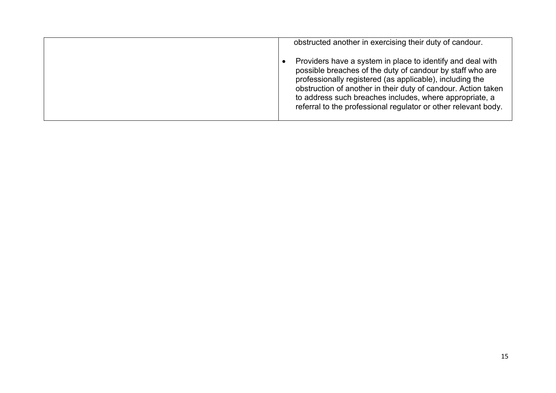| obstructed another in exercising their duty of candour.                                                                                                                                                                                                                                                                                                                           |
|-----------------------------------------------------------------------------------------------------------------------------------------------------------------------------------------------------------------------------------------------------------------------------------------------------------------------------------------------------------------------------------|
| Providers have a system in place to identify and deal with<br>possible breaches of the duty of candour by staff who are<br>professionally registered (as applicable), including the<br>obstruction of another in their duty of candour. Action taken<br>to address such breaches includes, where appropriate, a<br>referral to the professional regulator or other relevant body. |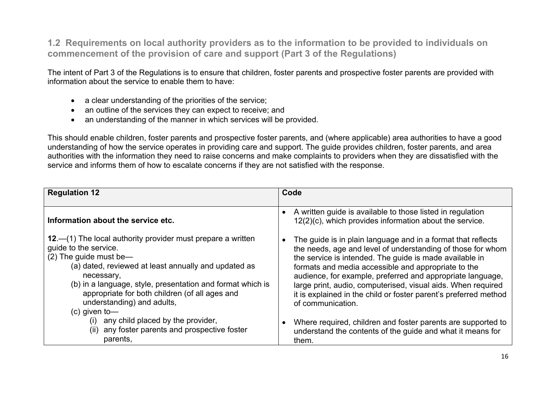**1.2 Requirements on local authority providers as to the information to be provided to individuals on commencement of the provision of care and support (Part 3 of the Regulations)**

The intent of Part 3 of the Regulations is to ensure that children, foster parents and prospective foster parents are provided with information about the service to enable them to have:

- a clear understanding of the priorities of the service;
- an outline of the services they can expect to receive; and
- an understanding of the manner in which services will be provided.

This should enable children, foster parents and prospective foster parents, and (where applicable) area authorities to have a good understanding of how the service operates in providing care and support. The guide provides children, foster parents, and area authorities with the information they need to raise concerns and make complaints to providers when they are dissatisfied with the service and informs them of how to escalate concerns if they are not satisfied with the response.

| <b>Regulation 12</b>                                                                                                                                                                                                                                                                                                                                    | Code                                                                                                                                                                                                                                                                                                                                                                                                                                                                 |
|---------------------------------------------------------------------------------------------------------------------------------------------------------------------------------------------------------------------------------------------------------------------------------------------------------------------------------------------------------|----------------------------------------------------------------------------------------------------------------------------------------------------------------------------------------------------------------------------------------------------------------------------------------------------------------------------------------------------------------------------------------------------------------------------------------------------------------------|
| Information about the service etc.                                                                                                                                                                                                                                                                                                                      | A written guide is available to those listed in regulation<br>12(2)(c), which provides information about the service.                                                                                                                                                                                                                                                                                                                                                |
| 12.—(1) The local authority provider must prepare a written<br>guide to the service.<br>$(2)$ The guide must be-<br>(a) dated, reviewed at least annually and updated as<br>necessary,<br>(b) in a language, style, presentation and format which is<br>appropriate for both children (of all ages and<br>understanding) and adults,<br>$(c)$ given to- | The guide is in plain language and in a format that reflects<br>the needs, age and level of understanding of those for whom<br>the service is intended. The guide is made available in<br>formats and media accessible and appropriate to the<br>audience, for example, preferred and appropriate language,<br>large print, audio, computerised, visual aids. When required<br>it is explained in the child or foster parent's preferred method<br>of communication. |
| (i) any child placed by the provider,<br>any foster parents and prospective foster<br>(ii)<br>parents,                                                                                                                                                                                                                                                  | Where required, children and foster parents are supported to<br>understand the contents of the guide and what it means for<br>them.                                                                                                                                                                                                                                                                                                                                  |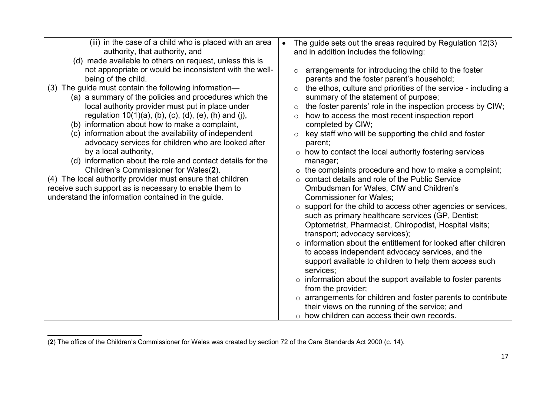<sup>(</sup>**2**) The office of the Children's Commissioner for Wales was created by section 72 of the Care Standards Act 2000 (c. 14).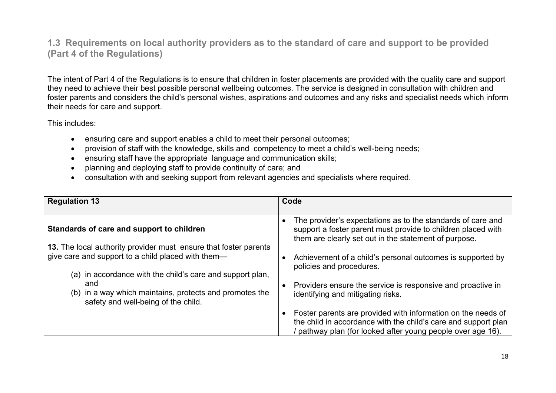#### **1.3 Requirements on local authority providers as to the standard of care and support to be provided (Part 4 of the Regulations)**

The intent of Part 4 of the Regulations is to ensure that children in foster placements are provided with the quality care and support they need to achieve their best possible personal wellbeing outcomes. The service is designed in consultation with children and foster parents and considers the child's personal wishes, aspirations and outcomes and any risks and specialist needs which inform their needs for care and support.

This includes:

- ensuring care and support enables a child to meet their personal outcomes;
- provision of staff with the knowledge, skills and competency to meet a child's well-being needs;
- ensuring staff have the appropriate language and communication skills;
- planning and deploying staff to provide continuity of care; and
- consultation with and seeking support from relevant agencies and specialists where required.

| <b>Regulation 13</b>                                                                                                                                               | Code                                                                                                                                                                                        |
|--------------------------------------------------------------------------------------------------------------------------------------------------------------------|---------------------------------------------------------------------------------------------------------------------------------------------------------------------------------------------|
| Standards of care and support to children                                                                                                                          | The provider's expectations as to the standards of care and<br>support a foster parent must provide to children placed with<br>them are clearly set out in the statement of purpose.        |
| 13. The local authority provider must ensure that foster parents<br>give care and support to a child placed with them-                                             | Achievement of a child's personal outcomes is supported by<br>policies and procedures.                                                                                                      |
| (a) in accordance with the child's care and support plan,<br>and<br>(b) in a way which maintains, protects and promotes the<br>safety and well-being of the child. | Providers ensure the service is responsive and proactive in<br>identifying and mitigating risks.                                                                                            |
|                                                                                                                                                                    | Foster parents are provided with information on the needs of<br>the child in accordance with the child's care and support plan<br>pathway plan (for looked after young people over age 16). |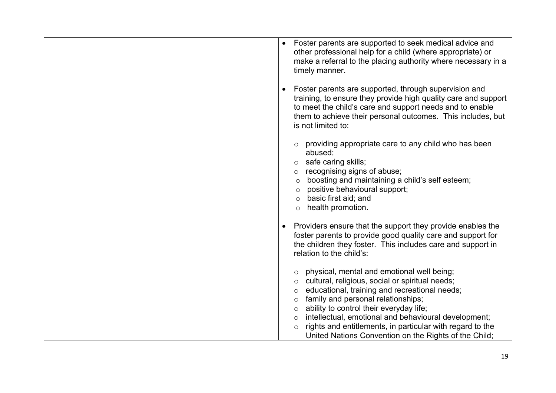| Foster parents are supported to seek medical advice and<br>$\bullet$<br>other professional help for a child (where appropriate) or<br>make a referral to the placing authority where necessary in a<br>timely manner.                                                                                                                                                                                                  |
|------------------------------------------------------------------------------------------------------------------------------------------------------------------------------------------------------------------------------------------------------------------------------------------------------------------------------------------------------------------------------------------------------------------------|
| Foster parents are supported, through supervision and<br>training, to ensure they provide high quality care and support<br>to meet the child's care and support needs and to enable<br>them to achieve their personal outcomes. This includes, but<br>is not limited to:                                                                                                                                               |
| providing appropriate care to any child who has been<br>abused;<br>safe caring skills;<br>recognising signs of abuse;<br>$\circ$<br>boosting and maintaining a child's self esteem;<br>$\circ$<br>positive behavioural support;<br>$\circ$<br>basic first aid; and<br>$\circ$<br>health promotion.<br>$\circ$                                                                                                          |
| Providers ensure that the support they provide enables the<br>foster parents to provide good quality care and support for<br>the children they foster. This includes care and support in<br>relation to the child's:                                                                                                                                                                                                   |
| physical, mental and emotional well being;<br>cultural, religious, social or spiritual needs;<br>$\circ$<br>educational, training and recreational needs;<br>$\circ$<br>family and personal relationships;<br>$\circ$<br>ability to control their everyday life;<br>$\circ$<br>intellectual, emotional and behavioural development;<br>$\circ$<br>rights and entitlements, in particular with regard to the<br>$\circ$ |
| United Nations Convention on the Rights of the Child;                                                                                                                                                                                                                                                                                                                                                                  |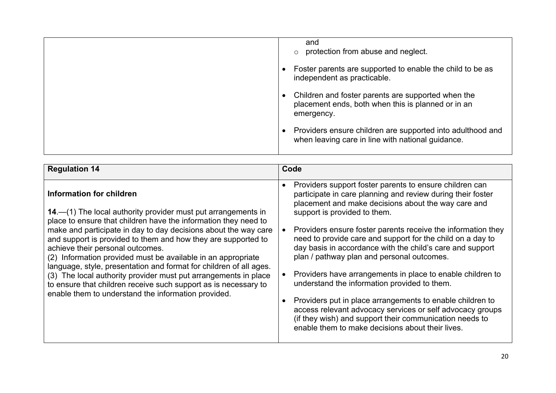| and<br>protection from abuse and neglect.                                                                              |
|------------------------------------------------------------------------------------------------------------------------|
| Foster parents are supported to enable the child to be as<br>independent as practicable.                               |
| Children and foster parents are supported when the<br>placement ends, both when this is planned or in an<br>emergency. |
| Providers ensure children are supported into adulthood and<br>when leaving care in line with national guidance.        |

| <b>Regulation 14</b>                                                                                                                                                                                                                                                                                                                                                                                                                                                                                                                                                                                                                                                    | Code                                                                                                                                                                                                                                                                                                                                                                                                                                                                                                                                                                                                                                                                                                                                                                                                                                                 |
|-------------------------------------------------------------------------------------------------------------------------------------------------------------------------------------------------------------------------------------------------------------------------------------------------------------------------------------------------------------------------------------------------------------------------------------------------------------------------------------------------------------------------------------------------------------------------------------------------------------------------------------------------------------------------|------------------------------------------------------------------------------------------------------------------------------------------------------------------------------------------------------------------------------------------------------------------------------------------------------------------------------------------------------------------------------------------------------------------------------------------------------------------------------------------------------------------------------------------------------------------------------------------------------------------------------------------------------------------------------------------------------------------------------------------------------------------------------------------------------------------------------------------------------|
| Information for children<br>14.—(1) The local authority provider must put arrangements in<br>place to ensure that children have the information they need to<br>make and participate in day to day decisions about the way care<br>and support is provided to them and how they are supported to<br>achieve their personal outcomes.<br>(2) Information provided must be available in an appropriate<br>language, style, presentation and format for children of all ages.<br>(3) The local authority provider must put arrangements in place<br>to ensure that children receive such support as is necessary to<br>enable them to understand the information provided. | Providers support foster parents to ensure children can<br>$\bullet$<br>participate in care planning and review during their foster<br>placement and make decisions about the way care and<br>support is provided to them.<br>Providers ensure foster parents receive the information they<br>$\bullet$<br>need to provide care and support for the child on a day to<br>day basis in accordance with the child's care and support<br>plan / pathway plan and personal outcomes.<br>Providers have arrangements in place to enable children to<br>$\bullet$<br>understand the information provided to them.<br>Providers put in place arrangements to enable children to<br>access relevant advocacy services or self advocacy groups<br>(if they wish) and support their communication needs to<br>enable them to make decisions about their lives. |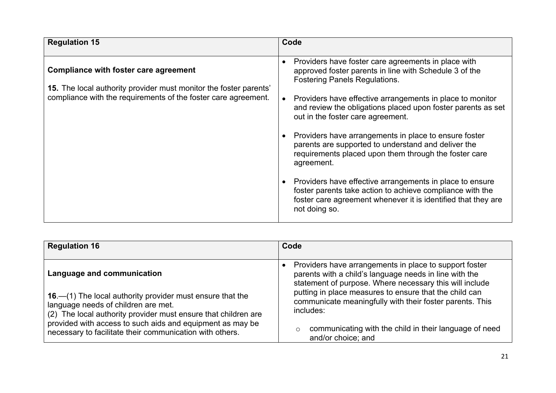| <b>Regulation 15</b>                                                                                                                                                                | Code                                                                                                                                                                                                                                                                                                                                                                                                                                                                                                                                                                                                                                                                                                                                   |
|-------------------------------------------------------------------------------------------------------------------------------------------------------------------------------------|----------------------------------------------------------------------------------------------------------------------------------------------------------------------------------------------------------------------------------------------------------------------------------------------------------------------------------------------------------------------------------------------------------------------------------------------------------------------------------------------------------------------------------------------------------------------------------------------------------------------------------------------------------------------------------------------------------------------------------------|
| Compliance with foster care agreement<br><b>15.</b> The local authority provider must monitor the foster parents'<br>compliance with the requirements of the foster care agreement. | Providers have foster care agreements in place with<br>$\bullet$<br>approved foster parents in line with Schedule 3 of the<br><b>Fostering Panels Regulations.</b><br>Providers have effective arrangements in place to monitor<br>and review the obligations placed upon foster parents as set<br>out in the foster care agreement.<br>Providers have arrangements in place to ensure foster<br>parents are supported to understand and deliver the<br>requirements placed upon them through the foster care<br>agreement.<br>Providers have effective arrangements in place to ensure<br>foster parents take action to achieve compliance with the<br>foster care agreement whenever it is identified that they are<br>not doing so. |

| <b>Regulation 16</b>                                                                                                                                                 | Code                                                                                                                                                                        |
|----------------------------------------------------------------------------------------------------------------------------------------------------------------------|-----------------------------------------------------------------------------------------------------------------------------------------------------------------------------|
|                                                                                                                                                                      |                                                                                                                                                                             |
| Language and communication                                                                                                                                           | Providers have arrangements in place to support foster<br>parents with a child's language needs in line with the<br>statement of purpose. Where necessary this will include |
| 16. - (1) The local authority provider must ensure that the<br>language needs of children are met.<br>(2) The local authority provider must ensure that children are | putting in place measures to ensure that the child can<br>communicate meaningfully with their foster parents. This<br>includes:                                             |
| provided with access to such aids and equipment as may be<br>necessary to facilitate their communication with others.                                                | communicating with the child in their language of need<br>$\circ$<br>and/or choice; and                                                                                     |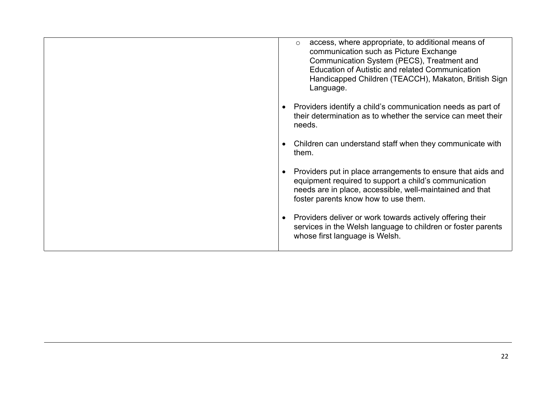| access, where appropriate, to additional means of<br>$\circ$<br>communication such as Picture Exchange<br>Communication System (PECS), Treatment and<br>Education of Autistic and related Communication<br>Handicapped Children (TEACCH), Makaton, British Sign<br>Language. |
|------------------------------------------------------------------------------------------------------------------------------------------------------------------------------------------------------------------------------------------------------------------------------|
| Providers identify a child's communication needs as part of<br>their determination as to whether the service can meet their<br>needs.                                                                                                                                        |
| Children can understand staff when they communicate with<br>them.                                                                                                                                                                                                            |
| Providers put in place arrangements to ensure that aids and<br>equipment required to support a child's communication<br>needs are in place, accessible, well-maintained and that<br>foster parents know how to use them.                                                     |
| Providers deliver or work towards actively offering their<br>services in the Welsh language to children or foster parents<br>whose first language is Welsh.                                                                                                                  |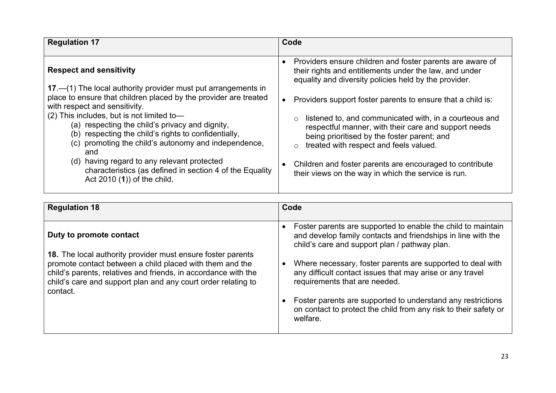| <b>Regulation 17</b>                                                                                                                                                                                                                                                                                                                                                                                                                                                                                                                                                       | Code                                                                                                                                                                                                                                                                                                                                                                                                                                                                                                                                                                                 |
|----------------------------------------------------------------------------------------------------------------------------------------------------------------------------------------------------------------------------------------------------------------------------------------------------------------------------------------------------------------------------------------------------------------------------------------------------------------------------------------------------------------------------------------------------------------------------|--------------------------------------------------------------------------------------------------------------------------------------------------------------------------------------------------------------------------------------------------------------------------------------------------------------------------------------------------------------------------------------------------------------------------------------------------------------------------------------------------------------------------------------------------------------------------------------|
| <b>Respect and sensitivity</b><br>17 – (1) The local authority provider must put arrangements in<br>place to ensure that children placed by the provider are treated<br>with respect and sensitivity.<br>(2) This includes, but is not limited to-<br>(a) respecting the child's privacy and dignity,<br>(b) respecting the child's rights to confidentially,<br>promoting the child's autonomy and independence,<br>(C).<br>and<br>(d) having regard to any relevant protected<br>characteristics (as defined in section 4 of the Equality<br>Act 2010 (1)) of the child. | Providers ensure children and foster parents are aware of<br>their rights and entitlements under the law, and under<br>equality and diversity policies held by the provider.<br>Providers support foster parents to ensure that a child is:<br>listened to, and communicated with, in a courteous and<br>respectful manner, with their care and support needs<br>being prioritised by the foster parent; and<br>treated with respect and feels valued.<br>$\circ$<br>Children and foster parents are encouraged to contribute<br>their views on the way in which the service is run. |

| <b>Regulation 18</b>                                                                                                                                                                                                                                                   | Code                                                                                                                                                                                                                                                                                                    |
|------------------------------------------------------------------------------------------------------------------------------------------------------------------------------------------------------------------------------------------------------------------------|---------------------------------------------------------------------------------------------------------------------------------------------------------------------------------------------------------------------------------------------------------------------------------------------------------|
| Duty to promote contact                                                                                                                                                                                                                                                | Foster parents are supported to enable the child to maintain<br>and develop family contacts and friendships in line with the<br>child's care and support plan / pathway plan.                                                                                                                           |
| 18. The local authority provider must ensure foster parents<br>promote contact between a child placed with them and the<br>child's parents, relatives and friends, in accordance with the<br>child's care and support plan and any court order relating to<br>contact. | Where necessary, foster parents are supported to deal with<br>any difficult contact issues that may arise or any travel<br>requirements that are needed.<br>Foster parents are supported to understand any restrictions<br>on contact to protect the child from any risk to their safety or<br>welfare. |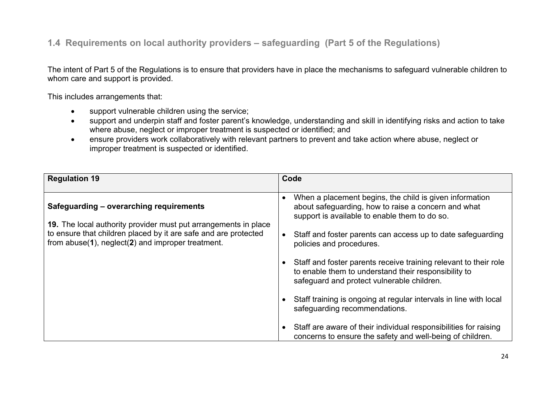#### **1.4 Requirements on local authority providers – safeguarding (Part 5 of the Regulations)**

The intent of Part 5 of the Regulations is to ensure that providers have in place the mechanisms to safeguard vulnerable children to whom care and support is provided.

This includes arrangements that:

- support vulnerable children using the service;
- support and underpin staff and foster parent's knowledge, understanding and skill in identifying risks and action to take where abuse, neglect or improper treatment is suspected or identified; and
- ensure providers work collaboratively with relevant partners to prevent and take action where abuse, neglect or improper treatment is suspected or identified.

| <b>Regulation 19</b>                                                                                                                                                                    | Code                                                                                                                                                                   |
|-----------------------------------------------------------------------------------------------------------------------------------------------------------------------------------------|------------------------------------------------------------------------------------------------------------------------------------------------------------------------|
|                                                                                                                                                                                         |                                                                                                                                                                        |
| Safeguarding – overarching requirements                                                                                                                                                 | When a placement begins, the child is given information<br>about safeguarding, how to raise a concern and what<br>support is available to enable them to do so.        |
| 19. The local authority provider must put arrangements in place<br>to ensure that children placed by it are safe and are protected<br>from abuse(1), neglect(2) and improper treatment. | Staff and foster parents can access up to date safeguarding<br>policies and procedures.                                                                                |
|                                                                                                                                                                                         | Staff and foster parents receive training relevant to their role<br>to enable them to understand their responsibility to<br>safeguard and protect vulnerable children. |
|                                                                                                                                                                                         | Staff training is ongoing at regular intervals in line with local<br>safeguarding recommendations.                                                                     |
|                                                                                                                                                                                         | Staff are aware of their individual responsibilities for raising<br>concerns to ensure the safety and well-being of children.                                          |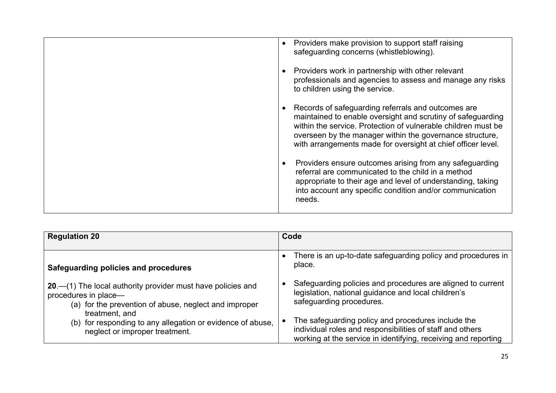| Providers make provision to support staff raising<br>$\bullet$<br>safeguarding concerns (whistleblowing).                                                                                                                                                                                                      |
|----------------------------------------------------------------------------------------------------------------------------------------------------------------------------------------------------------------------------------------------------------------------------------------------------------------|
| Providers work in partnership with other relevant<br>professionals and agencies to assess and manage any risks<br>to children using the service.                                                                                                                                                               |
| Records of safeguarding referrals and outcomes are<br>maintained to enable oversight and scrutiny of safeguarding<br>within the service. Protection of vulnerable children must be<br>overseen by the manager within the governance structure,<br>with arrangements made for oversight at chief officer level. |
| Providers ensure outcomes arising from any safeguarding<br>referral are communicated to the child in a method<br>appropriate to their age and level of understanding, taking<br>into account any specific condition and/or communication<br>needs.                                                             |

| <b>Regulation 20</b>                                          | Code                                                                   |
|---------------------------------------------------------------|------------------------------------------------------------------------|
| Safeguarding policies and procedures                          | There is an up-to-date safeguarding policy and procedures in<br>place. |
| 20. - (1) The local authority provider must have policies and | Safeguarding policies and procedures are aligned to current            |
| procedures in place-                                          | legislation, national guidance and local children's                    |
| (a) for the prevention of abuse, neglect and improper         | safeguarding procedures.                                               |
| treatment, and                                                | The safeguarding policy and procedures include the                     |
| (b) for responding to any allegation or evidence of abuse,    | individual roles and responsibilities of staff and others              |
| neglect or improper treatment.                                | working at the service in identifying, receiving and reporting         |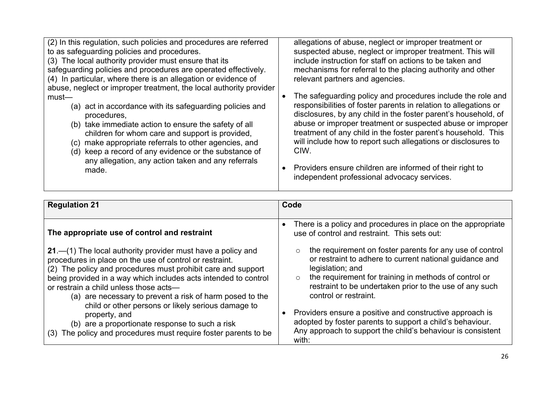| (2) In this regulation, such policies and procedures are referred<br>to as safeguarding policies and procedures.<br>(3) The local authority provider must ensure that its | allegations of abuse, neglect or improper treatment or<br>suspected abuse, neglect or improper treatment. This will<br>include instruction for staff on actions to be taken and                  |
|---------------------------------------------------------------------------------------------------------------------------------------------------------------------------|--------------------------------------------------------------------------------------------------------------------------------------------------------------------------------------------------|
| safeguarding policies and procedures are operated effectively.<br>(4) In particular, where there is an allegation or evidence of                                          | mechanisms for referral to the placing authority and other<br>relevant partners and agencies.                                                                                                    |
| abuse, neglect or improper treatment, the local authority provider<br>$must$ —                                                                                            | The safeguarding policy and procedures include the role and                                                                                                                                      |
| (a) act in accordance with its safeguarding policies and<br>procedures,                                                                                                   | responsibilities of foster parents in relation to allegations or<br>disclosures, by any child in the foster parent's household, of<br>abuse or improper treatment or suspected abuse or improper |
| (b) take immediate action to ensure the safety of all<br>children for whom care and support is provided,<br>make appropriate referrals to other agencies, and<br>(C)      | treatment of any child in the foster parent's household. This<br>will include how to report such allegations or disclosures to                                                                   |
| (d) keep a record of any evidence or the substance of<br>any allegation, any action taken and any referrals                                                               | CIW.                                                                                                                                                                                             |
| made.                                                                                                                                                                     | Providers ensure children are informed of their right to<br>independent professional advocacy services.                                                                                          |

| <b>Regulation 21</b>                                                                                                                                                                                                                                                                                                                                                                                                                                                                                                                                         | Code                                                                                                                                                                                                                                                                                                                                                                                                                                                                                                        |
|--------------------------------------------------------------------------------------------------------------------------------------------------------------------------------------------------------------------------------------------------------------------------------------------------------------------------------------------------------------------------------------------------------------------------------------------------------------------------------------------------------------------------------------------------------------|-------------------------------------------------------------------------------------------------------------------------------------------------------------------------------------------------------------------------------------------------------------------------------------------------------------------------------------------------------------------------------------------------------------------------------------------------------------------------------------------------------------|
| The appropriate use of control and restraint                                                                                                                                                                                                                                                                                                                                                                                                                                                                                                                 | There is a policy and procedures in place on the appropriate<br>use of control and restraint. This sets out:                                                                                                                                                                                                                                                                                                                                                                                                |
| 21.—(1) The local authority provider must have a policy and<br>procedures in place on the use of control or restraint.<br>(2) The policy and procedures must prohibit care and support<br>being provided in a way which includes acts intended to control<br>or restrain a child unless those acts-<br>(a) are necessary to prevent a risk of harm posed to the<br>child or other persons or likely serious damage to<br>property, and<br>(b) are a proportionate response to such a risk<br>(3) The policy and procedures must require foster parents to be | the requirement on foster parents for any use of control<br>$\circ$<br>or restraint to adhere to current national guidance and<br>legislation; and<br>the requirement for training in methods of control or<br>$\circ$<br>restraint to be undertaken prior to the use of any such<br>control or restraint.<br>Providers ensure a positive and constructive approach is<br>adopted by foster parents to support a child's behaviour.<br>Any approach to support the child's behaviour is consistent<br>with: |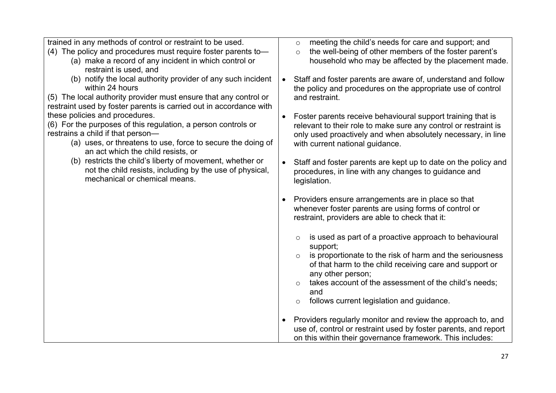| trained in any methods of control or restraint to be used.         |           | meeting the child's needs for care and support; and<br>$\circ$      |
|--------------------------------------------------------------------|-----------|---------------------------------------------------------------------|
| (4) The policy and procedures must require foster parents to-      |           | the well-being of other members of the foster parent's<br>$\circ$   |
| (a) make a record of any incident in which control or              |           | household who may be affected by the placement made.                |
| restraint is used, and                                             |           |                                                                     |
| (b) notify the local authority provider of any such incident       | $\bullet$ | Staff and foster parents are aware of, understand and follow        |
| within 24 hours                                                    |           | the policy and procedures on the appropriate use of control         |
| (5) The local authority provider must ensure that any control or   |           | and restraint.                                                      |
| restraint used by foster parents is carried out in accordance with |           |                                                                     |
| these policies and procedures.                                     | $\bullet$ | Foster parents receive behavioural support training that is         |
| (6) For the purposes of this regulation, a person controls or      |           | relevant to their role to make sure any control or restraint is     |
| restrains a child if that person-                                  |           | only used proactively and when absolutely necessary, in line        |
| (a) uses, or threatens to use, force to secure the doing of        |           | with current national guidance.                                     |
| an act which the child resists, or                                 |           |                                                                     |
| (b) restricts the child's liberty of movement, whether or          | $\bullet$ | Staff and foster parents are kept up to date on the policy and      |
| not the child resists, including by the use of physical,           |           | procedures, in line with any changes to guidance and                |
| mechanical or chemical means.                                      |           | legislation.                                                        |
|                                                                    |           |                                                                     |
|                                                                    | $\bullet$ | Providers ensure arrangements are in place so that                  |
|                                                                    |           | whenever foster parents are using forms of control or               |
|                                                                    |           | restraint, providers are able to check that it:                     |
|                                                                    |           |                                                                     |
|                                                                    |           | is used as part of a proactive approach to behavioural<br>$\circ$   |
|                                                                    |           | support;                                                            |
|                                                                    |           | is proportionate to the risk of harm and the seriousness<br>$\circ$ |
|                                                                    |           | of that harm to the child receiving care and support or             |
|                                                                    |           | any other person;                                                   |
|                                                                    |           | takes account of the assessment of the child's needs;<br>$\circ$    |
|                                                                    |           | and                                                                 |
|                                                                    |           | follows current legislation and guidance.<br>$\circ$                |
|                                                                    | $\bullet$ | Providers regularly monitor and review the approach to, and         |
|                                                                    |           | use of, control or restraint used by foster parents, and report     |
|                                                                    |           | on this within their governance framework. This includes:           |
|                                                                    |           |                                                                     |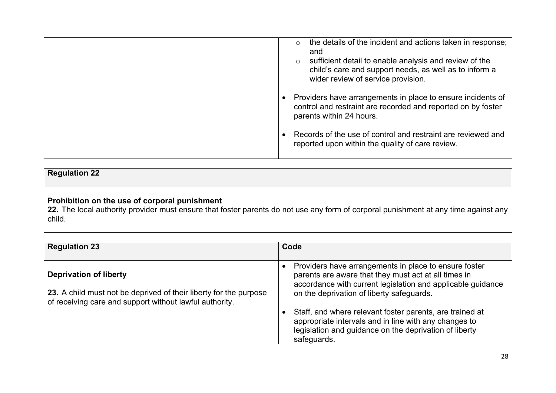| the details of the incident and actions taken in response;<br>$\circ$<br>and<br>sufficient detail to enable analysis and review of the<br>$\circ$<br>child's care and support needs, as well as to inform a<br>wider review of service provision. |
|---------------------------------------------------------------------------------------------------------------------------------------------------------------------------------------------------------------------------------------------------|
| Providers have arrangements in place to ensure incidents of<br>control and restraint are recorded and reported on by foster<br>parents within 24 hours.                                                                                           |
| Records of the use of control and restraint are reviewed and<br>reported upon within the quality of care review.                                                                                                                                  |

# **Regulation 22**

#### **Prohibition on the use of corporal punishment**

**22.** The local authority provider must ensure that foster parents do not use any form of corporal punishment at any time against any child.

| <b>Regulation 23</b>                                                                                                                                          | Code                                                                                                                                                                                                                      |
|---------------------------------------------------------------------------------------------------------------------------------------------------------------|---------------------------------------------------------------------------------------------------------------------------------------------------------------------------------------------------------------------------|
| <b>Deprivation of liberty</b><br>23. A child must not be deprived of their liberty for the purpose<br>of receiving care and support without lawful authority. | Providers have arrangements in place to ensure foster<br>parents are aware that they must act at all times in<br>accordance with current legislation and applicable guidance<br>on the deprivation of liberty safeguards. |
|                                                                                                                                                               | Staff, and where relevant foster parents, are trained at<br>appropriate intervals and in line with any changes to<br>legislation and guidance on the deprivation of liberty<br>safeguards.                                |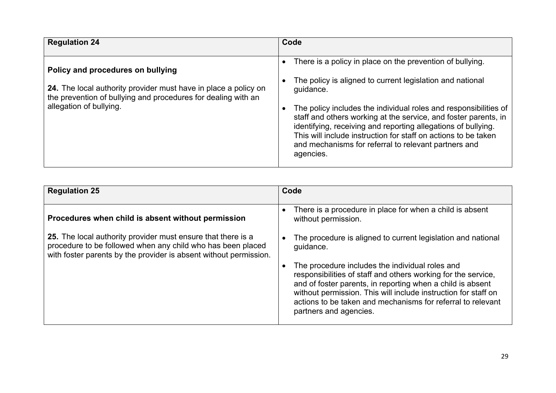| <b>Regulation 24</b>                                                                                                                                                                             | Code                                                                                                                                                                                                                                                                                                                                                                                                                                                                               |
|--------------------------------------------------------------------------------------------------------------------------------------------------------------------------------------------------|------------------------------------------------------------------------------------------------------------------------------------------------------------------------------------------------------------------------------------------------------------------------------------------------------------------------------------------------------------------------------------------------------------------------------------------------------------------------------------|
| Policy and procedures on bullying<br>24. The local authority provider must have in place a policy on<br>the prevention of bullying and procedures for dealing with an<br>allegation of bullying. | There is a policy in place on the prevention of bullying.<br>The policy is aligned to current legislation and national<br>guidance.<br>The policy includes the individual roles and responsibilities of<br>staff and others working at the service, and foster parents, in<br>identifying, receiving and reporting allegations of bullying.<br>This will include instruction for staff on actions to be taken<br>and mechanisms for referral to relevant partners and<br>agencies. |

| <b>Regulation 25</b>                                                                                                                                                                             | Code                                                                                                                                                                                                                                                                                                                                      |
|--------------------------------------------------------------------------------------------------------------------------------------------------------------------------------------------------|-------------------------------------------------------------------------------------------------------------------------------------------------------------------------------------------------------------------------------------------------------------------------------------------------------------------------------------------|
| Procedures when child is absent without permission                                                                                                                                               | There is a procedure in place for when a child is absent<br>without permission.                                                                                                                                                                                                                                                           |
| 25. The local authority provider must ensure that there is a<br>procedure to be followed when any child who has been placed<br>with foster parents by the provider is absent without permission. | The procedure is aligned to current legislation and national<br>quidance.                                                                                                                                                                                                                                                                 |
|                                                                                                                                                                                                  | The procedure includes the individual roles and<br>responsibilities of staff and others working for the service,<br>and of foster parents, in reporting when a child is absent<br>without permission. This will include instruction for staff on<br>actions to be taken and mechanisms for referral to relevant<br>partners and agencies. |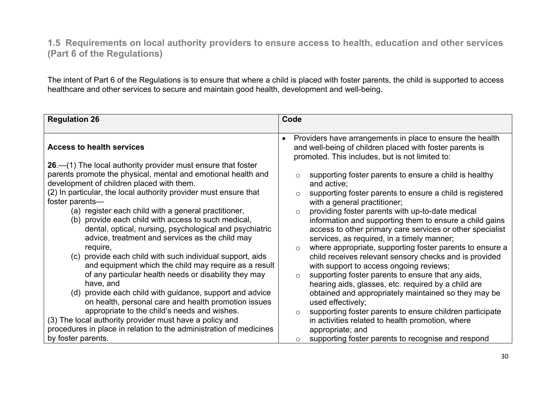**1.5 Requirements on local authority providers to ensure access to health, education and other services (Part 6 of the Regulations)**

The intent of Part 6 of the Regulations is to ensure that where a child is placed with foster parents, the child is supported to access healthcare and other services to secure and maintain good health, development and well-being.

| <b>Regulation 26</b>                                                                                                                                                                                                                                                                                                                                                                                                                                                                                                                              | Code                                                                                                                                                                                                                                                                                                                                                                                                                                                                                                                                                                                                                |
|---------------------------------------------------------------------------------------------------------------------------------------------------------------------------------------------------------------------------------------------------------------------------------------------------------------------------------------------------------------------------------------------------------------------------------------------------------------------------------------------------------------------------------------------------|---------------------------------------------------------------------------------------------------------------------------------------------------------------------------------------------------------------------------------------------------------------------------------------------------------------------------------------------------------------------------------------------------------------------------------------------------------------------------------------------------------------------------------------------------------------------------------------------------------------------|
| <b>Access to health services</b><br>$26 - (1)$ The local authority provider must ensure that foster<br>parents promote the physical, mental and emotional health and<br>development of children placed with them.<br>(2) In particular, the local authority provider must ensure that<br>foster parents-<br>(a) register each child with a general practitioner,<br>(b) provide each child with access to such medical,                                                                                                                           | Providers have arrangements in place to ensure the health<br>$\bullet$<br>and well-being of children placed with foster parents is<br>promoted. This includes, but is not limited to:<br>supporting foster parents to ensure a child is healthy<br>$\circ$<br>and active;<br>supporting foster parents to ensure a child is registered<br>$\circ$<br>with a general practitioner;<br>providing foster parents with up-to-date medical<br>$\circ$<br>information and supporting them to ensure a child gains                                                                                                         |
| dental, optical, nursing, psychological and psychiatric<br>advice, treatment and services as the child may<br>require,<br>(c) provide each child with such individual support, aids<br>and equipment which the child may require as a result<br>of any particular health needs or disability they may<br>have, and<br>(d) provide each child with guidance, support and advice<br>on health, personal care and health promotion issues<br>appropriate to the child's needs and wishes.<br>(3) The local authority provider must have a policy and | access to other primary care services or other specialist<br>services, as required, in a timely manner;<br>where appropriate, supporting foster parents to ensure a<br>$\circ$<br>child receives relevant sensory checks and is provided<br>with support to access ongoing reviews;<br>supporting foster parents to ensure that any aids,<br>$\circ$<br>hearing aids, glasses, etc. required by a child are<br>obtained and appropriately maintained so they may be<br>used effectively;<br>supporting foster parents to ensure children participate<br>$\circ$<br>in activities related to health promotion, where |
| procedures in place in relation to the administration of medicines<br>by foster parents.                                                                                                                                                                                                                                                                                                                                                                                                                                                          | appropriate; and<br>supporting foster parents to recognise and respond                                                                                                                                                                                                                                                                                                                                                                                                                                                                                                                                              |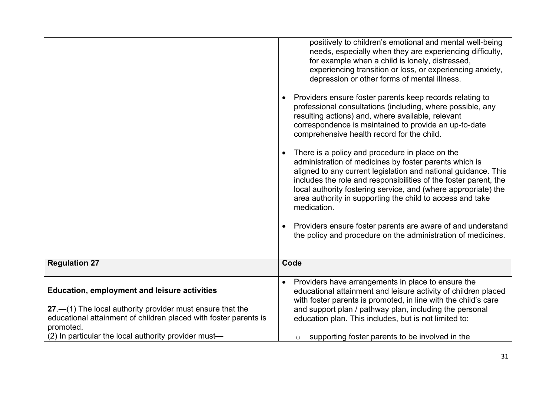| <b>Regulation 27</b><br><b>Education, employment and leisure activities</b><br>27.—(1) The local authority provider must ensure that the<br>educational attainment of children placed with foster parents is | medication.<br>Providers ensure foster parents are aware of and understand<br>the policy and procedure on the administration of medicines.<br>Code<br>Providers have arrangements in place to ensure the<br>educational attainment and leisure activity of children placed<br>with foster parents is promoted, in line with the child's care<br>and support plan / pathway plan, including the personal<br>education plan. This includes, but is not limited to: |
|--------------------------------------------------------------------------------------------------------------------------------------------------------------------------------------------------------------|------------------------------------------------------------------------------------------------------------------------------------------------------------------------------------------------------------------------------------------------------------------------------------------------------------------------------------------------------------------------------------------------------------------------------------------------------------------|
|                                                                                                                                                                                                              | There is a policy and procedure in place on the<br>administration of medicines by foster parents which is<br>aligned to any current legislation and national guidance. This<br>includes the role and responsibilities of the foster parent, the<br>local authority fostering service, and (where appropriate) the<br>area authority in supporting the child to access and take                                                                                   |
|                                                                                                                                                                                                              | Providers ensure foster parents keep records relating to<br>professional consultations (including, where possible, any<br>resulting actions) and, where available, relevant<br>correspondence is maintained to provide an up-to-date<br>comprehensive health record for the child.                                                                                                                                                                               |
|                                                                                                                                                                                                              | positively to children's emotional and mental well-being<br>needs, especially when they are experiencing difficulty,<br>for example when a child is lonely, distressed,<br>experiencing transition or loss, or experiencing anxiety,<br>depression or other forms of mental illness.                                                                                                                                                                             |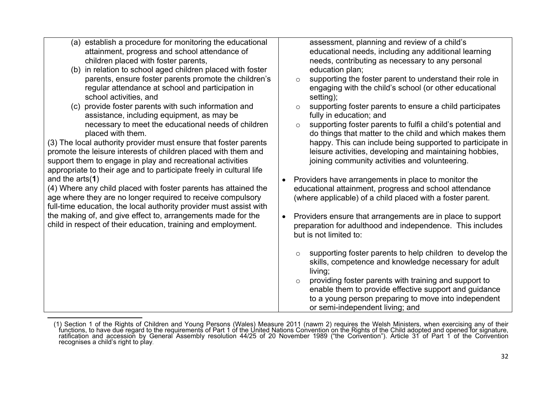| (a) establish a procedure for monitoring the educational<br>attainment, progress and school attendance of<br>children placed with foster parents,<br>(b) in relation to school aged children placed with foster<br>parents, ensure foster parents promote the children's<br>regular attendance at school and participation in<br>school activities, and<br>(c) provide foster parents with such information and<br>assistance, including equipment, as may be<br>necessary to meet the educational needs of children<br>placed with them.<br>(3) The local authority provider must ensure that foster parents<br>promote the leisure interests of children placed with them and<br>support them to engage in play and recreational activities | assessment, planning and review of a child's<br>educational needs, including any additional learning<br>needs, contributing as necessary to any personal<br>education plan;<br>supporting the foster parent to understand their role in<br>$\circ$<br>engaging with the child's school (or other educational<br>setting);<br>supporting foster parents to ensure a child participates<br>$\circ$<br>fully in education; and<br>supporting foster parents to fulfil a child's potential and<br>$\circ$<br>do things that matter to the child and which makes them<br>happy. This can include being supported to participate in<br>leisure activities, developing and maintaining hobbies,<br>joining community activities and volunteering. |
|-----------------------------------------------------------------------------------------------------------------------------------------------------------------------------------------------------------------------------------------------------------------------------------------------------------------------------------------------------------------------------------------------------------------------------------------------------------------------------------------------------------------------------------------------------------------------------------------------------------------------------------------------------------------------------------------------------------------------------------------------|--------------------------------------------------------------------------------------------------------------------------------------------------------------------------------------------------------------------------------------------------------------------------------------------------------------------------------------------------------------------------------------------------------------------------------------------------------------------------------------------------------------------------------------------------------------------------------------------------------------------------------------------------------------------------------------------------------------------------------------------|
| appropriate to their age and to participate freely in cultural life                                                                                                                                                                                                                                                                                                                                                                                                                                                                                                                                                                                                                                                                           |                                                                                                                                                                                                                                                                                                                                                                                                                                                                                                                                                                                                                                                                                                                                            |
| and the $arts(1)$<br>(4) Where any child placed with foster parents has attained the                                                                                                                                                                                                                                                                                                                                                                                                                                                                                                                                                                                                                                                          | Providers have arrangements in place to monitor the<br>educational attainment, progress and school attendance                                                                                                                                                                                                                                                                                                                                                                                                                                                                                                                                                                                                                              |
| age where they are no longer required to receive compulsory<br>full-time education, the local authority provider must assist with                                                                                                                                                                                                                                                                                                                                                                                                                                                                                                                                                                                                             | (where applicable) of a child placed with a foster parent.                                                                                                                                                                                                                                                                                                                                                                                                                                                                                                                                                                                                                                                                                 |
| the making of, and give effect to, arrangements made for the<br>child in respect of their education, training and employment.                                                                                                                                                                                                                                                                                                                                                                                                                                                                                                                                                                                                                 | Providers ensure that arrangements are in place to support<br>$\bullet$<br>preparation for adulthood and independence. This includes<br>but is not limited to:                                                                                                                                                                                                                                                                                                                                                                                                                                                                                                                                                                             |
|                                                                                                                                                                                                                                                                                                                                                                                                                                                                                                                                                                                                                                                                                                                                               | supporting foster parents to help children to develop the<br>$\circ$<br>skills, competence and knowledge necessary for adult<br>living;<br>providing foster parents with training and support to<br>$\circ$<br>enable them to provide effective support and guidance<br>to a young person preparing to move into independent<br>or semi-independent living; and                                                                                                                                                                                                                                                                                                                                                                            |

**<sup>3</sup>** (1) Section 1 of the Rights of Children and Young Persons (Wales) Measure 2011 (nawm 2) requires the Welsh Ministers, when exercising any of their functions, to have due regard to the requirements of Part 1 of the United Nations Convention on the Rights of the Child adopted and opened for signature, ratification and accession by General Assembly resolution 44/25 of 20 November 1989 ("the Convention"). Article 31 of Part 1 of the Convention recognises a child's right to play.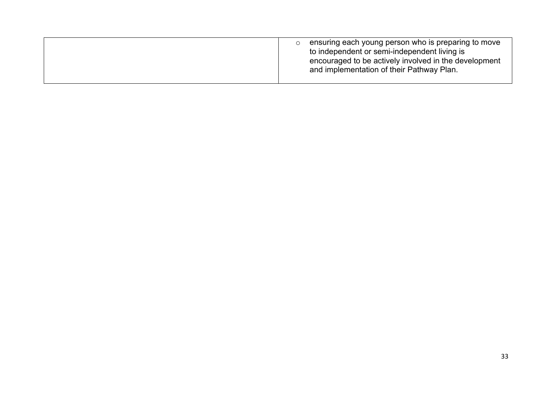| ensuring each young person who is preparing to move<br>to independent or semi-independent living is<br>encouraged to be actively involved in the development<br>and implementation of their Pathway Plan. |
|-----------------------------------------------------------------------------------------------------------------------------------------------------------------------------------------------------------|
|-----------------------------------------------------------------------------------------------------------------------------------------------------------------------------------------------------------|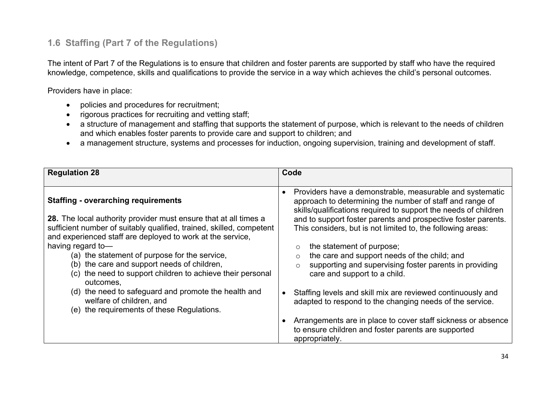### **1.6 Staffing (Part 7 of the Regulations)**

The intent of Part 7 of the Regulations is to ensure that children and foster parents are supported by staff who have the required knowledge, competence, skills and qualifications to provide the service in a way which achieves the child's personal outcomes.

Providers have in place:

- policies and procedures for recruitment;
- rigorous practices for recruiting and vetting staff;
- a structure of management and staffing that supports the statement of purpose, which is relevant to the needs of children and which enables foster parents to provide care and support to children; and
- a management structure, systems and processes for induction, ongoing supervision, training and development of staff.

| <b>Regulation 28</b>                                                                                                                                                                                                                                                                                                                                                                                                                       | Code                                                                                                                                                                                                                                                                                                                                                                                                                                                                                                                                         |
|--------------------------------------------------------------------------------------------------------------------------------------------------------------------------------------------------------------------------------------------------------------------------------------------------------------------------------------------------------------------------------------------------------------------------------------------|----------------------------------------------------------------------------------------------------------------------------------------------------------------------------------------------------------------------------------------------------------------------------------------------------------------------------------------------------------------------------------------------------------------------------------------------------------------------------------------------------------------------------------------------|
| <b>Staffing - overarching requirements</b><br>28. The local authority provider must ensure that at all times a<br>sufficient number of suitably qualified, trained, skilled, competent<br>and experienced staff are deployed to work at the service,<br>having regard to-<br>(a) the statement of purpose for the service,<br>(b) the care and support needs of children,<br>the need to support children to achieve their personal<br>(C) | Providers have a demonstrable, measurable and systematic<br>$\bullet$<br>approach to determining the number of staff and range of<br>skills/qualifications required to support the needs of children<br>and to support foster parents and prospective foster parents.<br>This considers, but is not limited to, the following areas:<br>the statement of purpose;<br>$\circ$<br>the care and support needs of the child; and<br>$\circ$<br>supporting and supervising foster parents in providing<br>$\circ$<br>care and support to a child. |
| outcomes.<br>(d) the need to safeguard and promote the health and<br>welfare of children, and<br>(e) the requirements of these Regulations.                                                                                                                                                                                                                                                                                                | Staffing levels and skill mix are reviewed continuously and<br>adapted to respond to the changing needs of the service.<br>Arrangements are in place to cover staff sickness or absence<br>to ensure children and foster parents are supported<br>appropriately.                                                                                                                                                                                                                                                                             |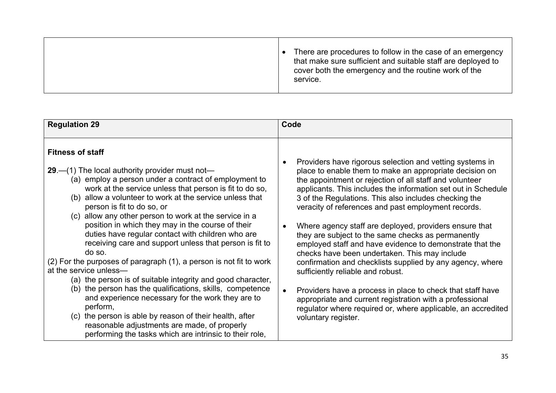|  | There are procedures to follow in the case of an emergency<br>that make sure sufficient and suitable staff are deployed to<br>cover both the emergency and the routine work of the<br>service. |
|--|------------------------------------------------------------------------------------------------------------------------------------------------------------------------------------------------|
|--|------------------------------------------------------------------------------------------------------------------------------------------------------------------------------------------------|

| <b>Regulation 29</b>                                                                                                                                                                                                                                                                                                                                                                                                                                                                                                                                                                                                                                                                                                                                                                                                                                                                                                                                                                                      | Code                                                                                                                                                                                                                                                                                                                                                                                                                                                                                                                                                                                                                                                                                                                                                                                                                                                                                                                                           |
|-----------------------------------------------------------------------------------------------------------------------------------------------------------------------------------------------------------------------------------------------------------------------------------------------------------------------------------------------------------------------------------------------------------------------------------------------------------------------------------------------------------------------------------------------------------------------------------------------------------------------------------------------------------------------------------------------------------------------------------------------------------------------------------------------------------------------------------------------------------------------------------------------------------------------------------------------------------------------------------------------------------|------------------------------------------------------------------------------------------------------------------------------------------------------------------------------------------------------------------------------------------------------------------------------------------------------------------------------------------------------------------------------------------------------------------------------------------------------------------------------------------------------------------------------------------------------------------------------------------------------------------------------------------------------------------------------------------------------------------------------------------------------------------------------------------------------------------------------------------------------------------------------------------------------------------------------------------------|
| <b>Fitness of staff</b><br>29 $-$ (1) The local authority provider must not-<br>(a) employ a person under a contract of employment to<br>work at the service unless that person is fit to do so,<br>(b) allow a volunteer to work at the service unless that<br>person is fit to do so, or<br>(c) allow any other person to work at the service in a<br>position in which they may in the course of their<br>duties have regular contact with children who are<br>receiving care and support unless that person is fit to<br>do so.<br>(2) For the purposes of paragraph (1), a person is not fit to work<br>at the service unless-<br>(a) the person is of suitable integrity and good character,<br>(b) the person has the qualifications, skills, competence<br>and experience necessary for the work they are to<br>perform,<br>the person is able by reason of their health, after<br>(c)<br>reasonable adjustments are made, of properly<br>performing the tasks which are intrinsic to their role, | Providers have rigorous selection and vetting systems in<br>٠<br>place to enable them to make an appropriate decision on<br>the appointment or rejection of all staff and volunteer<br>applicants. This includes the information set out in Schedule<br>3 of the Regulations. This also includes checking the<br>veracity of references and past employment records.<br>Where agency staff are deployed, providers ensure that<br>$\bullet$<br>they are subject to the same checks as permanently<br>employed staff and have evidence to demonstrate that the<br>checks have been undertaken. This may include<br>confirmation and checklists supplied by any agency, where<br>sufficiently reliable and robust.<br>Providers have a process in place to check that staff have<br>$\bullet$<br>appropriate and current registration with a professional<br>regulator where required or, where applicable, an accredited<br>voluntary register. |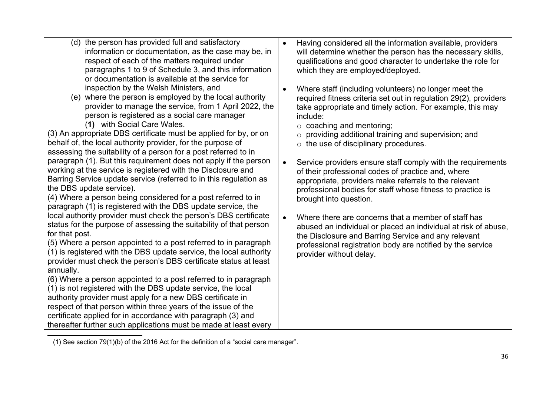- (d) the person has provided full and satisfactory information or documentation, as the case may be, in respect of each of the matters required under paragraphs 1 to 9 of Schedule 3, and this information or documentation is available at the service for inspection by the Welsh Ministers, and
- (e) where the person is employed by the local authority provider to manage the service, from 1 April 2022, the person is registered as a social care manager (**1)4**)with Social Care Wales.

(3) An appropriate DBS certificate must be applied for by, or on behalf of, the local authority provider, for the purpose of assessing the suitability of a person for a post referred to in paragraph (1). But this requirement does not apply if the person working at the service is registered with the Disclosure and Barring Service update service (referred to in this regulation as the DBS update service).

(4) Where a person being considered for a post referred to in paragraph (1) is registered with the DBS update service, the local authority provider must check the person's DBS certificate status for the purpose of assessing the suitability of that person for that post.

(5) Where a person appointed to a post referred to in paragraph (1) is registered with the DBS update service, the local authority provider must check the person's DBS certificate status at least annually.

(6) Where a person appointed to a post referred to in paragraph (1) is not registered with the DBS update service, the local authority provider must apply for a new DBS certificate in respect of that person within three years of the issue of the certificate applied for in accordance with paragraph (3) and thereafter further such applications must be made at least every

- Having considered all the information available, providers will determine whether the person has the necessary skills, qualifications and good character to undertake the role for which they are employed/deployed.
- Where staff (including volunteers) no longer meet the required fitness criteria set out in regulation 29(2), providers take appropriate and timely action. For example, this may include:
	- $\circ$  coaching and mentoring;
	- o providing additional training and supervision; and
	- $\circ$  the use of disciplinary procedures.
- Service providers ensure staff comply with the requirements of their professional codes of practice and, where appropriate, providers make referrals to the relevant professional bodies for staff whose fitness to practice is brought into question.
- Where there are concerns that a member of staff has abused an individual or placed an individual at risk of abuse, the Disclosure and Barring Service and any relevant professional registration body are notified by the service provider without delay.

**<sup>4</sup>** (1) See section 79(1)(b) of the 2016 Act for the definition of a "social care manager".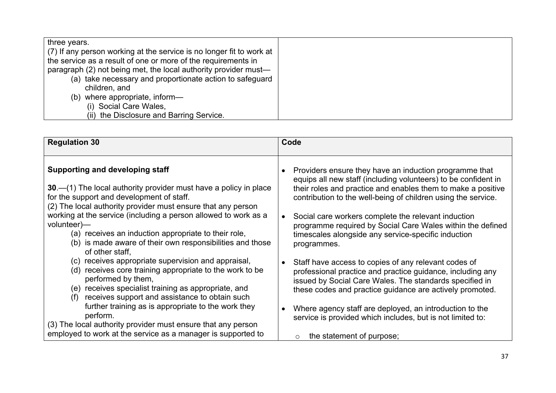| (7) If any person working at the service is no longer fit to work at<br>the service as a result of one or more of the requirements in<br>paragraph (2) not being met, the local authority provider must-<br>(a) take necessary and proportionate action to safeguard<br>children, and<br>(b) where appropriate, inform-<br>(i) Social Care Wales,<br>(ii) the Disclosure and Barring Service. |
|-----------------------------------------------------------------------------------------------------------------------------------------------------------------------------------------------------------------------------------------------------------------------------------------------------------------------------------------------------------------------------------------------|
|-----------------------------------------------------------------------------------------------------------------------------------------------------------------------------------------------------------------------------------------------------------------------------------------------------------------------------------------------------------------------------------------------|

| <b>Regulation 30</b>                                                                                                                                                                                                                                   | Code                                                                                                                                                                                                                                                      |
|--------------------------------------------------------------------------------------------------------------------------------------------------------------------------------------------------------------------------------------------------------|-----------------------------------------------------------------------------------------------------------------------------------------------------------------------------------------------------------------------------------------------------------|
| <b>Supporting and developing staff</b><br>$30 - (1)$ The local authority provider must have a policy in place<br>for the support and development of staff.<br>(2) The local authority provider must ensure that any person                             | Providers ensure they have an induction programme that<br>equips all new staff (including volunteers) to be confident in<br>their roles and practice and enables them to make a positive<br>contribution to the well-being of children using the service. |
| working at the service (including a person allowed to work as a<br>volunteer)—<br>(a) receives an induction appropriate to their role,<br>(b) is made aware of their own responsibilities and those<br>of other staff.                                 | Social care workers complete the relevant induction<br>programme required by Social Care Wales within the defined<br>timescales alongside any service-specific induction<br>programmes.                                                                   |
| (c) receives appropriate supervision and appraisal,<br>(d) receives core training appropriate to the work to be<br>performed by them,<br>(e) receives specialist training as appropriate, and<br>receives support and assistance to obtain such<br>(f) | Staff have access to copies of any relevant codes of<br>professional practice and practice guidance, including any<br>issued by Social Care Wales. The standards specified in<br>these codes and practice guidance are actively promoted.                 |
| further training as is appropriate to the work they<br>perform.<br>(3) The local authority provider must ensure that any person<br>employed to work at the service as a manager is supported to                                                        | Where agency staff are deployed, an introduction to the<br>service is provided which includes, but is not limited to:<br>the statement of purpose;<br>$\circ$                                                                                             |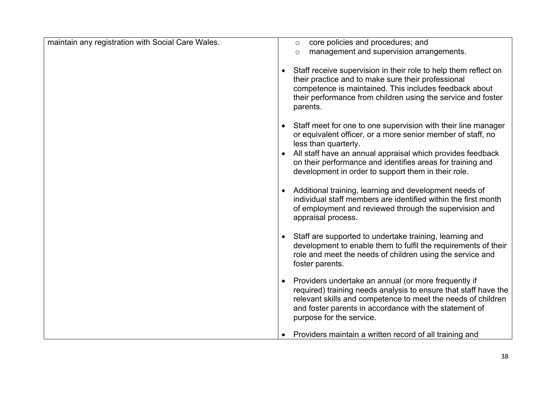| maintain any registration with Social Care Wales. | core policies and procedures; and<br>$\circ$<br>management and supervision arrangements.<br>$\circ$                                                                                                                                                                                                                                     |
|---------------------------------------------------|-----------------------------------------------------------------------------------------------------------------------------------------------------------------------------------------------------------------------------------------------------------------------------------------------------------------------------------------|
|                                                   | Staff receive supervision in their role to help them reflect on<br>their practice and to make sure their professional<br>competence is maintained. This includes feedback about<br>their performance from children using the service and foster<br>parents.                                                                             |
|                                                   | Staff meet for one to one supervision with their line manager<br>or equivalent officer, or a more senior member of staff, no<br>less than quarterly.<br>All staff have an annual appraisal which provides feedback<br>on their performance and identifies areas for training and<br>development in order to support them in their role. |
|                                                   | Additional training, learning and development needs of<br>individual staff members are identified within the first month<br>of employment and reviewed through the supervision and<br>appraisal process.                                                                                                                                |
|                                                   | Staff are supported to undertake training, learning and<br>development to enable them to fulfil the requirements of their<br>role and meet the needs of children using the service and<br>foster parents.                                                                                                                               |
|                                                   | Providers undertake an annual (or more frequently if<br>required) training needs analysis to ensure that staff have the<br>relevant skills and competence to meet the needs of children<br>and foster parents in accordance with the statement of<br>purpose for the service.                                                           |
|                                                   | Providers maintain a written record of all training and                                                                                                                                                                                                                                                                                 |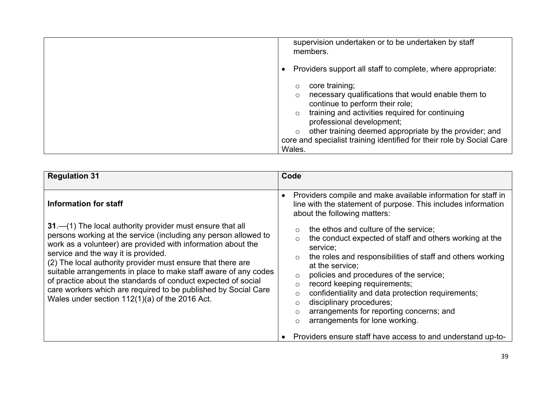| supervision undertaken or to be undertaken by staff<br>members.                                                                                                                                                                                                                                                                                            |
|------------------------------------------------------------------------------------------------------------------------------------------------------------------------------------------------------------------------------------------------------------------------------------------------------------------------------------------------------------|
| Providers support all staff to complete, where appropriate:                                                                                                                                                                                                                                                                                                |
| core training;<br>$\circ$<br>necessary qualifications that would enable them to<br>continue to perform their role;<br>training and activities required for continuing<br>professional development;<br>other training deemed appropriate by the provider; and<br>$\circ$<br>core and specialist training identified for their role by Social Care<br>Wales. |

| <b>Regulation 31</b>                                                                                                                                                                                                                                                                                                                                                                                                                                                                                                                                                                | Code                                                                                                                                                                                                                                                                                                                                                                                                                                                                                                                                                                                                                                                                                                         |
|-------------------------------------------------------------------------------------------------------------------------------------------------------------------------------------------------------------------------------------------------------------------------------------------------------------------------------------------------------------------------------------------------------------------------------------------------------------------------------------------------------------------------------------------------------------------------------------|--------------------------------------------------------------------------------------------------------------------------------------------------------------------------------------------------------------------------------------------------------------------------------------------------------------------------------------------------------------------------------------------------------------------------------------------------------------------------------------------------------------------------------------------------------------------------------------------------------------------------------------------------------------------------------------------------------------|
| Information for staff<br>31.—(1) The local authority provider must ensure that all<br>persons working at the service (including any person allowed to<br>work as a volunteer) are provided with information about the<br>service and the way it is provided.<br>(2) The local authority provider must ensure that there are<br>suitable arrangements in place to make staff aware of any codes<br>of practice about the standards of conduct expected of social<br>care workers which are required to be published by Social Care<br>Wales under section 112(1)(a) of the 2016 Act. | Providers compile and make available information for staff in<br>line with the statement of purpose. This includes information<br>about the following matters:<br>the ethos and culture of the service;<br>$\circ$<br>the conduct expected of staff and others working at the<br>$\circ$<br>service;<br>the roles and responsibilities of staff and others working<br>$\circ$<br>at the service;<br>policies and procedures of the service;<br>$\circ$<br>record keeping requirements;<br>$\circ$<br>confidentiality and data protection requirements;<br>$\circ$<br>disciplinary procedures;<br>$\circ$<br>arrangements for reporting concerns; and<br>$\circ$<br>arrangements for lone working.<br>$\circ$ |
|                                                                                                                                                                                                                                                                                                                                                                                                                                                                                                                                                                                     | Providers ensure staff have access to and understand up-to-                                                                                                                                                                                                                                                                                                                                                                                                                                                                                                                                                                                                                                                  |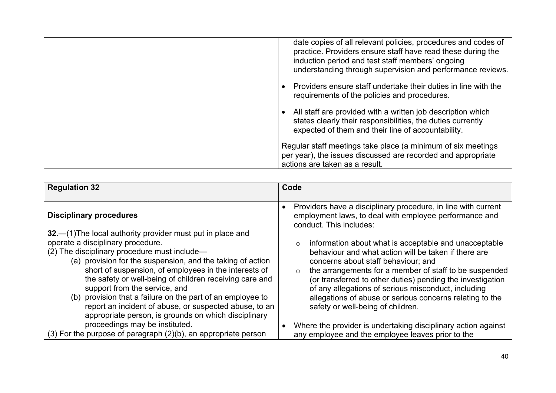| date copies of all relevant policies, procedures and codes of<br>practice. Providers ensure staff have read these during the<br>induction period and test staff members' ongoing<br>understanding through supervision and performance reviews. |
|------------------------------------------------------------------------------------------------------------------------------------------------------------------------------------------------------------------------------------------------|
| Providers ensure staff undertake their duties in line with the<br>requirements of the policies and procedures.                                                                                                                                 |
| All staff are provided with a written job description which<br>states clearly their responsibilities, the duties currently<br>expected of them and their line of accountability.                                                               |
| Regular staff meetings take place (a minimum of six meetings<br>per year), the issues discussed are recorded and appropriate<br>actions are taken as a result.                                                                                 |

| <b>Regulation 32</b>                                                                                                                                                                                                                                                                                                                                                                                                                                                                         | Code                                                                                                                                                                                                                                                                                                                                                                                                                                                       |
|----------------------------------------------------------------------------------------------------------------------------------------------------------------------------------------------------------------------------------------------------------------------------------------------------------------------------------------------------------------------------------------------------------------------------------------------------------------------------------------------|------------------------------------------------------------------------------------------------------------------------------------------------------------------------------------------------------------------------------------------------------------------------------------------------------------------------------------------------------------------------------------------------------------------------------------------------------------|
| <b>Disciplinary procedures</b>                                                                                                                                                                                                                                                                                                                                                                                                                                                               | Providers have a disciplinary procedure, in line with current<br>employment laws, to deal with employee performance and<br>conduct. This includes:                                                                                                                                                                                                                                                                                                         |
| 32. - (1) The local authority provider must put in place and<br>operate a disciplinary procedure.<br>(2) The disciplinary procedure must include-<br>(a) provision for the suspension, and the taking of action<br>short of suspension, of employees in the interests of<br>the safety or well-being of children receiving care and<br>support from the service, and<br>(b) provision that a failure on the part of an employee to<br>report an incident of abuse, or suspected abuse, to an | information about what is acceptable and unacceptable<br>$\circ$<br>behaviour and what action will be taken if there are<br>concerns about staff behaviour; and<br>the arrangements for a member of staff to be suspended<br>$\circ$<br>(or transferred to other duties) pending the investigation<br>of any allegations of serious misconduct, including<br>allegations of abuse or serious concerns relating to the<br>safety or well-being of children. |
| appropriate person, is grounds on which disciplinary<br>proceedings may be instituted.<br>$(3)$ For the purpose of paragraph $(2)(b)$ , an appropriate person                                                                                                                                                                                                                                                                                                                                | Where the provider is undertaking disciplinary action against<br>any employee and the employee leaves prior to the                                                                                                                                                                                                                                                                                                                                         |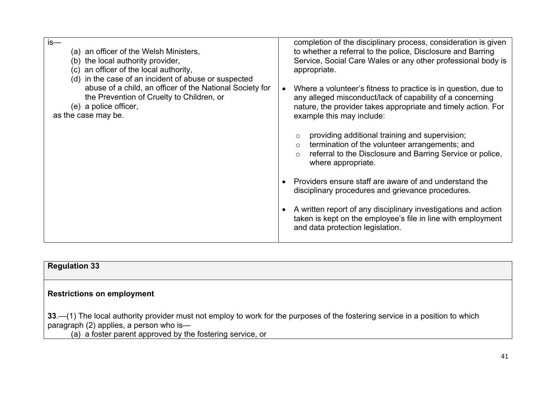| $is-$<br>(a) an officer of the Welsh Ministers,<br>(b) the local authority provider,<br>(c) an officer of the local authority,<br>(d) in the case of an incident of abuse or suspected<br>abuse of a child, an officer of the National Society for<br>the Prevention of Cruelty to Children, or<br>(e) a police officer,<br>as the case may be. | completion of the disciplinary process, consideration is given<br>to whether a referral to the police, Disclosure and Barring<br>Service, Social Care Wales or any other professional body is<br>appropriate.<br>Where a volunteer's fitness to practice is in question, due to<br>any alleged misconduct/lack of capability of a concerning<br>nature, the provider takes appropriate and timely action. For<br>example this may include: |
|-------------------------------------------------------------------------------------------------------------------------------------------------------------------------------------------------------------------------------------------------------------------------------------------------------------------------------------------------|--------------------------------------------------------------------------------------------------------------------------------------------------------------------------------------------------------------------------------------------------------------------------------------------------------------------------------------------------------------------------------------------------------------------------------------------|
|                                                                                                                                                                                                                                                                                                                                                 | providing additional training and supervision;<br>$\circ$<br>termination of the volunteer arrangements; and<br>$\circ$<br>referral to the Disclosure and Barring Service or police,<br>$\circ$<br>where appropriate.                                                                                                                                                                                                                       |
|                                                                                                                                                                                                                                                                                                                                                 | Providers ensure staff are aware of and understand the<br>disciplinary procedures and grievance procedures.                                                                                                                                                                                                                                                                                                                                |
|                                                                                                                                                                                                                                                                                                                                                 | A written report of any disciplinary investigations and action<br>taken is kept on the employee's file in line with employment<br>and data protection legislation.                                                                                                                                                                                                                                                                         |

| <b>Regulation 33</b> |  |  |
|----------------------|--|--|
|----------------------|--|--|

#### **Restrictions on employment**

**33**.—(1) The local authority provider must not employ to work for the purposes of the fostering service in a position to which paragraph (2) applies, a person who is—

(a) a foster parent approved by the fostering service, or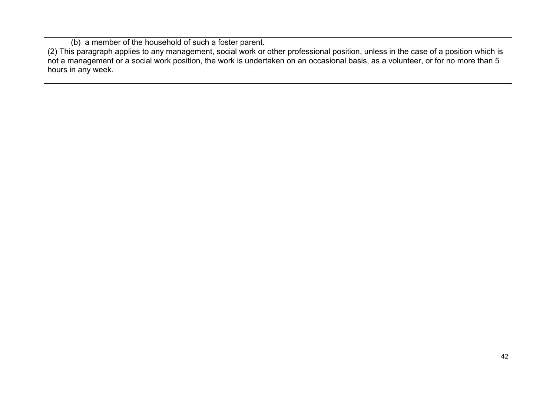(b) a member of the household of such a foster parent.

(2) This paragraph applies to any management, social work or other professional position, unless in the case of a position which is not a management or a social work position, the work is undertaken on an occasional basis, as a volunteer, or for no more than 5 hours in any week.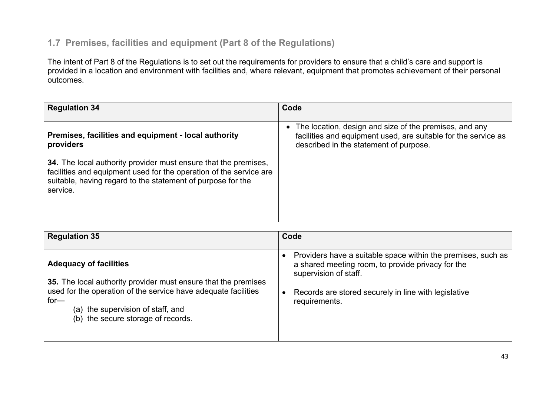#### **1.7 Premises, facilities and equipment (Part 8 of the Regulations)**

The intent of Part 8 of the Regulations is to set out the requirements for providers to ensure that a child's care and support is provided in a location and environment with facilities and, where relevant, equipment that promotes achievement of their personal outcomes.

| <b>Regulation 34</b>                                                                                                                                                                                             | Code                                                                                                                                                                 |
|------------------------------------------------------------------------------------------------------------------------------------------------------------------------------------------------------------------|----------------------------------------------------------------------------------------------------------------------------------------------------------------------|
| Premises, facilities and equipment - local authority<br>providers                                                                                                                                                | • The location, design and size of the premises, and any<br>facilities and equipment used, are suitable for the service as<br>described in the statement of purpose. |
| 34. The local authority provider must ensure that the premises,<br>facilities and equipment used for the operation of the service are<br>suitable, having regard to the statement of purpose for the<br>service. |                                                                                                                                                                      |

| <b>Regulation 35</b>                                                                                                                                                                                                                                   | Code                                                                                                                                                                                                                |
|--------------------------------------------------------------------------------------------------------------------------------------------------------------------------------------------------------------------------------------------------------|---------------------------------------------------------------------------------------------------------------------------------------------------------------------------------------------------------------------|
| <b>Adequacy of facilities</b><br>35. The local authority provider must ensure that the premises<br>used for the operation of the service have adequate facilities<br>$for-$<br>(a) the supervision of staff, and<br>(b) the secure storage of records. | Providers have a suitable space within the premises, such as<br>a shared meeting room, to provide privacy for the<br>supervision of staff.<br>Records are stored securely in line with legislative<br>requirements. |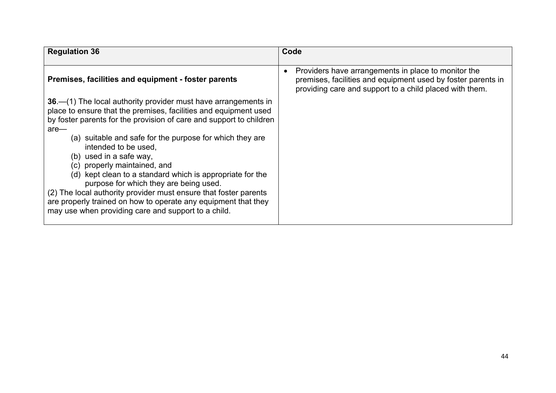| <b>Regulation 36</b>                                                                                                                                                                                                                                                                                                                                                                                                                                                                                                                                                                                                                                                    | Code                                                                                                                                                                           |
|-------------------------------------------------------------------------------------------------------------------------------------------------------------------------------------------------------------------------------------------------------------------------------------------------------------------------------------------------------------------------------------------------------------------------------------------------------------------------------------------------------------------------------------------------------------------------------------------------------------------------------------------------------------------------|--------------------------------------------------------------------------------------------------------------------------------------------------------------------------------|
| Premises, facilities and equipment - foster parents                                                                                                                                                                                                                                                                                                                                                                                                                                                                                                                                                                                                                     | Providers have arrangements in place to monitor the<br>premises, facilities and equipment used by foster parents in<br>providing care and support to a child placed with them. |
| 36 – (1) The local authority provider must have arrangements in<br>place to ensure that the premises, facilities and equipment used<br>by foster parents for the provision of care and support to children<br>$are-$<br>(a) suitable and safe for the purpose for which they are<br>intended to be used.<br>(b) used in a safe way,<br>(c) properly maintained, and<br>(d) kept clean to a standard which is appropriate for the<br>purpose for which they are being used.<br>(2) The local authority provider must ensure that foster parents<br>are properly trained on how to operate any equipment that they<br>may use when providing care and support to a child. |                                                                                                                                                                                |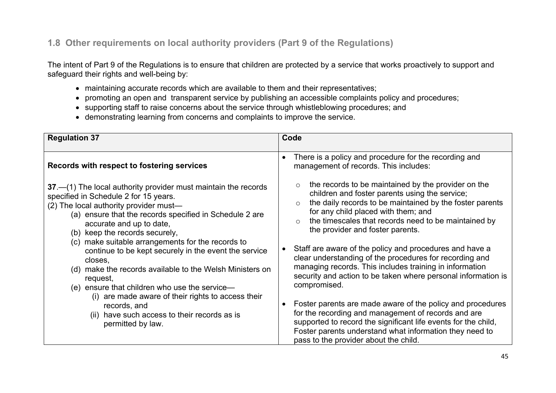### **1.8 Other requirements on local authority providers (Part 9 of the Regulations)**

The intent of Part 9 of the Regulations is to ensure that children are protected by a service that works proactively to support and safeguard their rights and well-being by:

- maintaining accurate records which are available to them and their representatives;
- promoting an open and transparent service by publishing an accessible complaints policy and procedures;
- supporting staff to raise concerns about the service through whistleblowing procedures; and
- demonstrating learning from concerns and complaints to improve the service.

| <b>Regulation 37</b>                                                                                                                                                                                                                                                                                                                                                                                                                                                                                                                                                                                                                                                       | Code                                                                                                                                                                                                                                                                                                                                                                                                                                                                                                                                                                                                                                                                                                                                                                                                                                                                                               |
|----------------------------------------------------------------------------------------------------------------------------------------------------------------------------------------------------------------------------------------------------------------------------------------------------------------------------------------------------------------------------------------------------------------------------------------------------------------------------------------------------------------------------------------------------------------------------------------------------------------------------------------------------------------------------|----------------------------------------------------------------------------------------------------------------------------------------------------------------------------------------------------------------------------------------------------------------------------------------------------------------------------------------------------------------------------------------------------------------------------------------------------------------------------------------------------------------------------------------------------------------------------------------------------------------------------------------------------------------------------------------------------------------------------------------------------------------------------------------------------------------------------------------------------------------------------------------------------|
| Records with respect to fostering services                                                                                                                                                                                                                                                                                                                                                                                                                                                                                                                                                                                                                                 | There is a policy and procedure for the recording and<br>management of records. This includes:                                                                                                                                                                                                                                                                                                                                                                                                                                                                                                                                                                                                                                                                                                                                                                                                     |
| $37 - (1)$ The local authority provider must maintain the records<br>specified in Schedule 2 for 15 years.<br>(2) The local authority provider must-<br>(a) ensure that the records specified in Schedule 2 are<br>accurate and up to date,<br>(b) keep the records securely,<br>(c) make suitable arrangements for the records to<br>continue to be kept securely in the event the service<br>closes,<br>(d) make the records available to the Welsh Ministers on<br>request,<br>(e) ensure that children who use the service—<br>(i) are made aware of their rights to access their<br>records, and<br>(ii) have such access to their records as is<br>permitted by law. | the records to be maintained by the provider on the<br>$\circ$<br>children and foster parents using the service;<br>the daily records to be maintained by the foster parents<br>$\circ$<br>for any child placed with them; and<br>the timescales that records need to be maintained by<br>$\circ$<br>the provider and foster parents.<br>Staff are aware of the policy and procedures and have a<br>clear understanding of the procedures for recording and<br>managing records. This includes training in information<br>security and action to be taken where personal information is<br>compromised.<br>Foster parents are made aware of the policy and procedures<br>for the recording and management of records and are<br>supported to record the significant life events for the child,<br>Foster parents understand what information they need to<br>pass to the provider about the child. |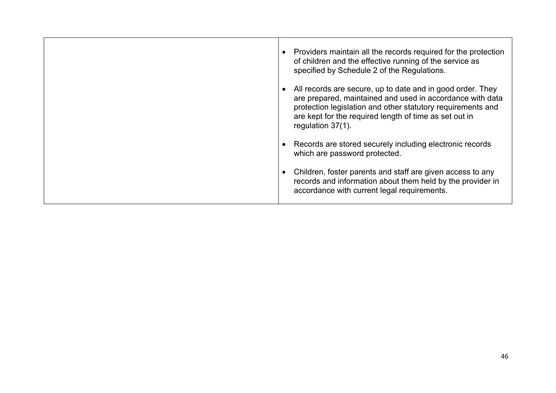| Providers maintain all the records required for the protection<br>of children and the effective running of the service as<br>specified by Schedule 2 of the Regulations.                                                                                              |
|-----------------------------------------------------------------------------------------------------------------------------------------------------------------------------------------------------------------------------------------------------------------------|
| All records are secure, up to date and in good order. They<br>are prepared, maintained and used in accordance with data<br>protection legislation and other statutory requirements and<br>are kept for the required length of time as set out in<br>regulation 37(1). |
| Records are stored securely including electronic records<br>which are password protected.                                                                                                                                                                             |
| Children, foster parents and staff are given access to any<br>records and information about them held by the provider in<br>accordance with current legal requirements.                                                                                               |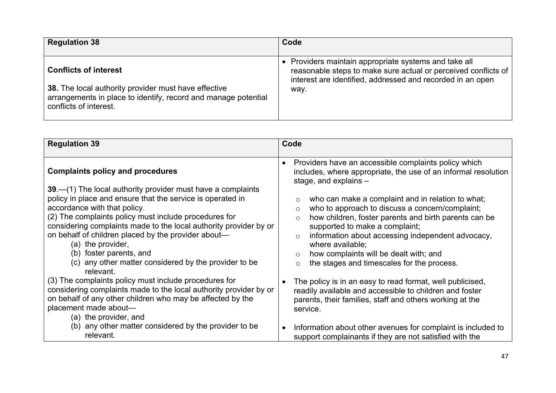| <b>Regulation 38</b>                                           | Code                                                           |
|----------------------------------------------------------------|----------------------------------------------------------------|
| <b>Conflicts of interest</b>                                   | • Providers maintain appropriate systems and take all          |
| 38. The local authority provider must have effective           | reasonable steps to make sure actual or perceived conflicts of |
| arrangements in place to identify, record and manage potential | interest are identified, addressed and recorded in an open     |
| conflicts of interest.                                         | way.                                                           |

| <b>Regulation 39</b>                                                                                                                                                                                                                                                                                                                                                                                                                                                                                                                                                                                                                             | Code                                                                                                                                                                                                                                                                                                                                                                                                                                                                                                                                                                                                                                                                                                            |
|--------------------------------------------------------------------------------------------------------------------------------------------------------------------------------------------------------------------------------------------------------------------------------------------------------------------------------------------------------------------------------------------------------------------------------------------------------------------------------------------------------------------------------------------------------------------------------------------------------------------------------------------------|-----------------------------------------------------------------------------------------------------------------------------------------------------------------------------------------------------------------------------------------------------------------------------------------------------------------------------------------------------------------------------------------------------------------------------------------------------------------------------------------------------------------------------------------------------------------------------------------------------------------------------------------------------------------------------------------------------------------|
| <b>Complaints policy and procedures</b><br>$39 - (1)$ The local authority provider must have a complaints<br>policy in place and ensure that the service is operated in<br>accordance with that policy.<br>(2) The complaints policy must include procedures for<br>considering complaints made to the local authority provider by or<br>on behalf of children placed by the provider about-<br>(a) the provider,<br>(b) foster parents, and<br>(c) any other matter considered by the provider to be<br>relevant.<br>(3) The complaints policy must include procedures for<br>considering complaints made to the local authority provider by or | Providers have an accessible complaints policy which<br>includes, where appropriate, the use of an informal resolution<br>stage, and explains $-$<br>who can make a complaint and in relation to what;<br>$\circ$<br>who to approach to discuss a concern/complaint;<br>$\circ$<br>how children, foster parents and birth parents can be<br>$\circ$<br>supported to make a complaint;<br>information about accessing independent advocacy,<br>$\circ$<br>where available;<br>how complaints will be dealt with; and<br>$\circ$<br>the stages and timescales for the process.<br>$\circ$<br>The policy is in an easy to read format, well publicised,<br>readily available and accessible to children and foster |
| on behalf of any other children who may be affected by the<br>placement made about-<br>(a) the provider, and                                                                                                                                                                                                                                                                                                                                                                                                                                                                                                                                     | parents, their families, staff and others working at the<br>service.                                                                                                                                                                                                                                                                                                                                                                                                                                                                                                                                                                                                                                            |
| (b) any other matter considered by the provider to be<br>relevant.                                                                                                                                                                                                                                                                                                                                                                                                                                                                                                                                                                               | Information about other avenues for complaint is included to<br>support complainants if they are not satisfied with the                                                                                                                                                                                                                                                                                                                                                                                                                                                                                                                                                                                         |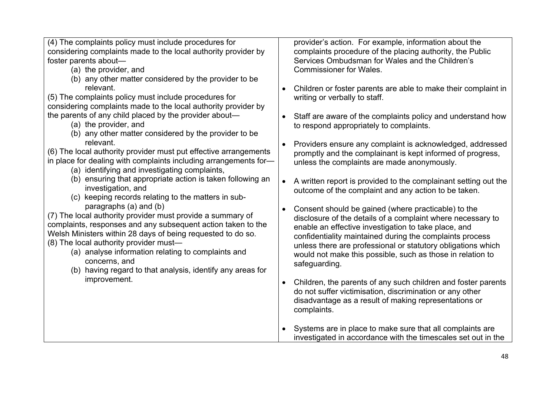(4) The complaints policy must include procedures for considering complaints made to the local authority provider by foster parents about—

- (a) the provider, and
- (b) any other matter considered by the provider to be relevant.

(5) The complaints policy must include procedures for considering complaints made to the local authority provider by the parents of any child placed by the provider about—

- (a) the provider, and
- (b) any other matter considered by the provider to be relevant.

(6) The local authority provider must put effective arrangements in place for dealing with complaints including arrangements for—

- (a) identifying and investigating complaints,
- (b) ensuring that appropriate action is taken following an investigation, and
- (c) keeping records relating to the matters in subparagraphs (a) and (b)

(7) The local authority provider must provide a summary of complaints, responses and any subsequent action taken to the Welsh Ministers within 28 days of being requested to do so. (8) The local authority provider must—

- (a) analyse information relating to complaints and concerns, and
- (b) having regard to that analysis, identify any areas for improvement.

provider's action. For example, information about the complaints procedure of the placing authority, the Public Services Ombudsman for Wales and the Children's Commissioner for Wales.

- Children or foster parents are able to make their complaint in writing or verbally to staff.
- Staff are aware of the complaints policy and understand how to respond appropriately to complaints.
- Providers ensure any complaint is acknowledged, addressed promptly and the complainant is kept informed of progress, unless the complaints are made anonymously.
- A written report is provided to the complainant setting out the outcome of the complaint and any action to be taken.
- Consent should be gained (where practicable) to the disclosure of the details of a complaint where necessary to enable an effective investigation to take place, and confidentiality maintained during the complaints process unless there are professional or statutory obligations which would not make this possible, such as those in relation to safeguarding.
- Children, the parents of any such children and foster parents do not suffer victimisation, discrimination or any other disadvantage as a result of making representations or complaints.
- Systems are in place to make sure that all complaints are investigated in accordance with the timescales set out in the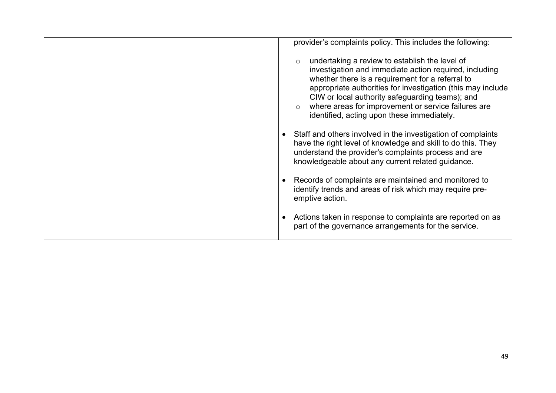| provider's complaints policy. This includes the following:                                                                                                                                                                                                                                                                                                                                                |
|-----------------------------------------------------------------------------------------------------------------------------------------------------------------------------------------------------------------------------------------------------------------------------------------------------------------------------------------------------------------------------------------------------------|
| undertaking a review to establish the level of<br>$\circ$<br>investigation and immediate action required, including<br>whether there is a requirement for a referral to<br>appropriate authorities for investigation (this may include<br>CIW or local authority safeguarding teams); and<br>where areas for improvement or service failures are<br>$\circ$<br>identified, acting upon these immediately. |
| Staff and others involved in the investigation of complaints<br>have the right level of knowledge and skill to do this. They<br>understand the provider's complaints process and are<br>knowledgeable about any current related guidance.                                                                                                                                                                 |
| Records of complaints are maintained and monitored to<br>identify trends and areas of risk which may require pre-<br>emptive action.                                                                                                                                                                                                                                                                      |
| Actions taken in response to complaints are reported on as<br>part of the governance arrangements for the service.                                                                                                                                                                                                                                                                                        |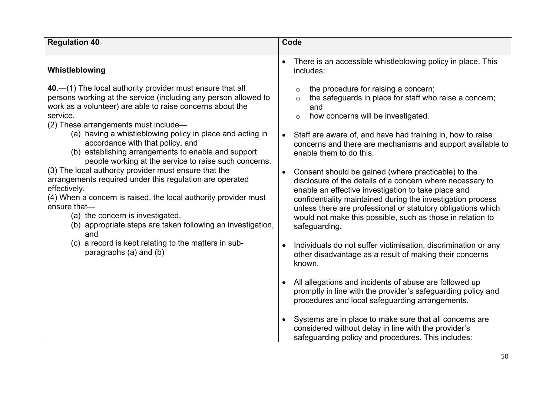| <b>Regulation 40</b>                                                                                                                                                                                                                                                                                                                                                                                                                                                                                                                                                                                                                                                                                                                                                                                                                                                                | Code                                                                                                                                                                                                                                                                                                                                                                                                                                                                                                                                                                                                                                                                                                                                                                                                                                                      |
|-------------------------------------------------------------------------------------------------------------------------------------------------------------------------------------------------------------------------------------------------------------------------------------------------------------------------------------------------------------------------------------------------------------------------------------------------------------------------------------------------------------------------------------------------------------------------------------------------------------------------------------------------------------------------------------------------------------------------------------------------------------------------------------------------------------------------------------------------------------------------------------|-----------------------------------------------------------------------------------------------------------------------------------------------------------------------------------------------------------------------------------------------------------------------------------------------------------------------------------------------------------------------------------------------------------------------------------------------------------------------------------------------------------------------------------------------------------------------------------------------------------------------------------------------------------------------------------------------------------------------------------------------------------------------------------------------------------------------------------------------------------|
| Whistleblowing                                                                                                                                                                                                                                                                                                                                                                                                                                                                                                                                                                                                                                                                                                                                                                                                                                                                      | There is an accessible whistleblowing policy in place. This<br>includes:                                                                                                                                                                                                                                                                                                                                                                                                                                                                                                                                                                                                                                                                                                                                                                                  |
| 40 – (1) The local authority provider must ensure that all<br>persons working at the service (including any person allowed to<br>work as a volunteer) are able to raise concerns about the<br>service.<br>(2) These arrangements must include-<br>(a) having a whistleblowing policy in place and acting in<br>accordance with that policy, and<br>(b) establishing arrangements to enable and support<br>people working at the service to raise such concerns.<br>(3) The local authority provider must ensure that the<br>arrangements required under this regulation are operated<br>effectively.<br>(4) When a concern is raised, the local authority provider must<br>ensure that-<br>(a) the concern is investigated,<br>(b) appropriate steps are taken following an investigation,<br>and<br>(c) a record is kept relating to the matters in sub-<br>paragraphs (a) and (b) | the procedure for raising a concern;<br>$\circ$<br>the safeguards in place for staff who raise a concern;<br>$\circ$<br>and<br>how concerns will be investigated.<br>$\circ$<br>Staff are aware of, and have had training in, how to raise<br>concerns and there are mechanisms and support available to<br>enable them to do this.<br>Consent should be gained (where practicable) to the<br>disclosure of the details of a concern where necessary to<br>enable an effective investigation to take place and<br>confidentiality maintained during the investigation process<br>unless there are professional or statutory obligations which<br>would not make this possible, such as those in relation to<br>safeguarding.<br>Individuals do not suffer victimisation, discrimination or any<br>other disadvantage as a result of making their concerns |
|                                                                                                                                                                                                                                                                                                                                                                                                                                                                                                                                                                                                                                                                                                                                                                                                                                                                                     | known.<br>All allegations and incidents of abuse are followed up<br>promptly in line with the provider's safeguarding policy and<br>procedures and local safeguarding arrangements.<br>Systems are in place to make sure that all concerns are<br>considered without delay in line with the provider's<br>safeguarding policy and procedures. This includes:                                                                                                                                                                                                                                                                                                                                                                                                                                                                                              |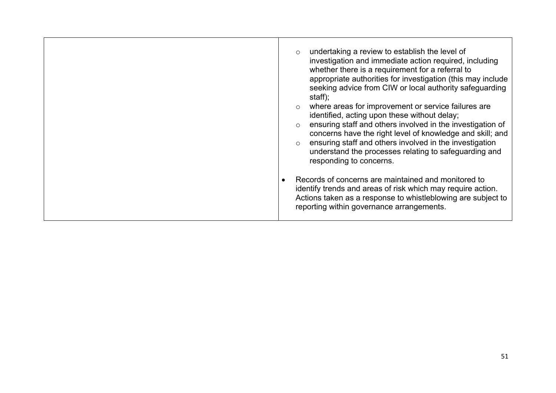| undertaking a review to establish the level of<br>$\circ$<br>investigation and immediate action required, including<br>whether there is a requirement for a referral to<br>appropriate authorities for investigation (this may include<br>seeking advice from CIW or local authority safeguarding<br>staff);<br>where areas for improvement or service failures are<br>$\circ$<br>identified, acting upon these without delay;<br>ensuring staff and others involved in the investigation of<br>$\circ$<br>concerns have the right level of knowledge and skill; and<br>ensuring staff and others involved in the investigation<br>$\circ$<br>understand the processes relating to safeguarding and<br>responding to concerns. |
|--------------------------------------------------------------------------------------------------------------------------------------------------------------------------------------------------------------------------------------------------------------------------------------------------------------------------------------------------------------------------------------------------------------------------------------------------------------------------------------------------------------------------------------------------------------------------------------------------------------------------------------------------------------------------------------------------------------------------------|
| Records of concerns are maintained and monitored to<br>identify trends and areas of risk which may require action.<br>Actions taken as a response to whistleblowing are subject to<br>reporting within governance arrangements.                                                                                                                                                                                                                                                                                                                                                                                                                                                                                                |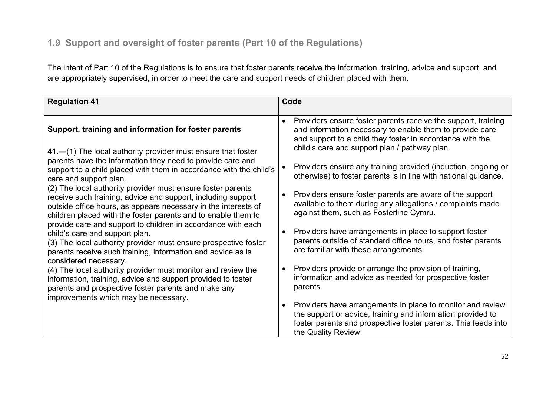# **1.9 Support and oversight of foster parents (Part 10 of the Regulations)**

The intent of Part 10 of the Regulations is to ensure that foster parents receive the information, training, advice and support, and are appropriately supervised, in order to meet the care and support needs of children placed with them.

| <b>Regulation 41</b>                                                                                                                                                                                                                                                                                                                                                                                                                                                                                                                                                                                                                                                                                                                                                                                                                                                                                                                                                                                                                             | Code                                                                                                                                                                                                                                                                                                                                                                                                                                                                                                                                                                                                                                                                                                                                                                                                                                                                                                                                                                                                                      |
|--------------------------------------------------------------------------------------------------------------------------------------------------------------------------------------------------------------------------------------------------------------------------------------------------------------------------------------------------------------------------------------------------------------------------------------------------------------------------------------------------------------------------------------------------------------------------------------------------------------------------------------------------------------------------------------------------------------------------------------------------------------------------------------------------------------------------------------------------------------------------------------------------------------------------------------------------------------------------------------------------------------------------------------------------|---------------------------------------------------------------------------------------------------------------------------------------------------------------------------------------------------------------------------------------------------------------------------------------------------------------------------------------------------------------------------------------------------------------------------------------------------------------------------------------------------------------------------------------------------------------------------------------------------------------------------------------------------------------------------------------------------------------------------------------------------------------------------------------------------------------------------------------------------------------------------------------------------------------------------------------------------------------------------------------------------------------------------|
| Support, training and information for foster parents<br>41.—(1) The local authority provider must ensure that foster<br>parents have the information they need to provide care and<br>support to a child placed with them in accordance with the child's<br>care and support plan.<br>(2) The local authority provider must ensure foster parents<br>receive such training, advice and support, including support<br>outside office hours, as appears necessary in the interests of<br>children placed with the foster parents and to enable them to<br>provide care and support to children in accordance with each<br>child's care and support plan.<br>(3) The local authority provider must ensure prospective foster<br>parents receive such training, information and advice as is<br>considered necessary.<br>(4) The local authority provider must monitor and review the<br>information, training, advice and support provided to foster<br>parents and prospective foster parents and make any<br>improvements which may be necessary. | Providers ensure foster parents receive the support, training<br>$\bullet$<br>and information necessary to enable them to provide care<br>and support to a child they foster in accordance with the<br>child's care and support plan / pathway plan.<br>Providers ensure any training provided (induction, ongoing or<br>otherwise) to foster parents is in line with national guidance.<br>Providers ensure foster parents are aware of the support<br>$\bullet$<br>available to them during any allegations / complaints made<br>against them, such as Fosterline Cymru.<br>Providers have arrangements in place to support foster<br>parents outside of standard office hours, and foster parents<br>are familiar with these arrangements.<br>Providers provide or arrange the provision of training,<br>information and advice as needed for prospective foster<br>parents.<br>Providers have arrangements in place to monitor and review<br>$\bullet$<br>the support or advice, training and information provided to |
|                                                                                                                                                                                                                                                                                                                                                                                                                                                                                                                                                                                                                                                                                                                                                                                                                                                                                                                                                                                                                                                  | foster parents and prospective foster parents. This feeds into<br>the Quality Review.                                                                                                                                                                                                                                                                                                                                                                                                                                                                                                                                                                                                                                                                                                                                                                                                                                                                                                                                     |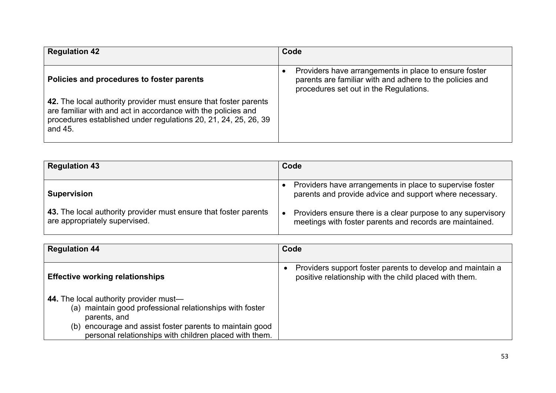| <b>Regulation 42</b>                                                                                                                                                                                            | Code                                                                                                                                                        |
|-----------------------------------------------------------------------------------------------------------------------------------------------------------------------------------------------------------------|-------------------------------------------------------------------------------------------------------------------------------------------------------------|
| Policies and procedures to foster parents                                                                                                                                                                       | Providers have arrangements in place to ensure foster<br>parents are familiar with and adhere to the policies and<br>procedures set out in the Regulations. |
| 42. The local authority provider must ensure that foster parents<br>are familiar with and act in accordance with the policies and<br>procedures established under regulations 20, 21, 24, 25, 26, 39<br>and 45. |                                                                                                                                                             |

| <b>Regulation 43</b>                                                                              | Code                                                                                                                     |
|---------------------------------------------------------------------------------------------------|--------------------------------------------------------------------------------------------------------------------------|
| <b>Supervision</b>                                                                                | Providers have arrangements in place to supervise foster<br>parents and provide advice and support where necessary.      |
| 43. The local authority provider must ensure that foster parents<br>are appropriately supervised. | Providers ensure there is a clear purpose to any supervisory<br>meetings with foster parents and records are maintained. |

| <b>Regulation 44</b>                                                                                                                                                                                                                     | Code                                                                                                                 |
|------------------------------------------------------------------------------------------------------------------------------------------------------------------------------------------------------------------------------------------|----------------------------------------------------------------------------------------------------------------------|
| <b>Effective working relationships</b>                                                                                                                                                                                                   | Providers support foster parents to develop and maintain a<br>positive relationship with the child placed with them. |
| 44. The local authority provider must—<br>(a) maintain good professional relationships with foster<br>parents, and<br>(b) encourage and assist foster parents to maintain good<br>personal relationships with children placed with them. |                                                                                                                      |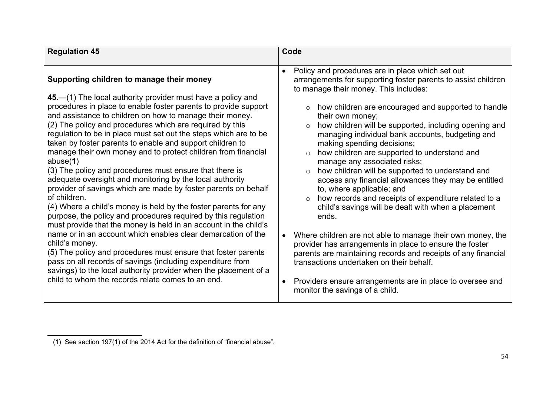| <b>Regulation 45</b>                                                                                                                                                                                                                                                                                                                                                                                                                                                                                                                                                                                                                                                                                                                                                                                                                                                                                                                                                                                                                                                                                                                                                                                                                                                              | Code                                                                                                                                                                                                                                                                                                                                                                                                                                                                                                                                                                                                                                                                                                                                                                                                                                                                                                                                                                                                                                                                                                                                 |
|-----------------------------------------------------------------------------------------------------------------------------------------------------------------------------------------------------------------------------------------------------------------------------------------------------------------------------------------------------------------------------------------------------------------------------------------------------------------------------------------------------------------------------------------------------------------------------------------------------------------------------------------------------------------------------------------------------------------------------------------------------------------------------------------------------------------------------------------------------------------------------------------------------------------------------------------------------------------------------------------------------------------------------------------------------------------------------------------------------------------------------------------------------------------------------------------------------------------------------------------------------------------------------------|--------------------------------------------------------------------------------------------------------------------------------------------------------------------------------------------------------------------------------------------------------------------------------------------------------------------------------------------------------------------------------------------------------------------------------------------------------------------------------------------------------------------------------------------------------------------------------------------------------------------------------------------------------------------------------------------------------------------------------------------------------------------------------------------------------------------------------------------------------------------------------------------------------------------------------------------------------------------------------------------------------------------------------------------------------------------------------------------------------------------------------------|
| Supporting children to manage their money<br>45 – (1) The local authority provider must have a policy and<br>procedures in place to enable foster parents to provide support<br>and assistance to children on how to manage their money.<br>(2) The policy and procedures which are required by this<br>regulation to be in place must set out the steps which are to be<br>taken by foster parents to enable and support children to<br>manage their own money and to protect children from financial<br>abuse $(1)$<br>(3) The policy and procedures must ensure that there is<br>adequate oversight and monitoring by the local authority<br>provider of savings which are made by foster parents on behalf<br>of children.<br>(4) Where a child's money is held by the foster parents for any<br>purpose, the policy and procedures required by this regulation<br>must provide that the money is held in an account in the child's<br>name or in an account which enables clear demarcation of the<br>child's money.<br>(5) The policy and procedures must ensure that foster parents<br>pass on all records of savings (including expenditure from<br>savings) to the local authority provider when the placement of a<br>child to whom the records relate comes to an end. | Policy and procedures are in place which set out<br>$\bullet$<br>arrangements for supporting foster parents to assist children<br>to manage their money. This includes:<br>how children are encouraged and supported to handle<br>their own money;<br>how children will be supported, including opening and<br>$\circ$<br>managing individual bank accounts, budgeting and<br>making spending decisions;<br>how children are supported to understand and<br>$\circ$<br>manage any associated risks;<br>how children will be supported to understand and<br>access any financial allowances they may be entitled<br>to, where applicable; and<br>how records and receipts of expenditure related to a<br>child's savings will be dealt with when a placement<br>ends.<br>Where children are not able to manage their own money, the<br>$\bullet$<br>provider has arrangements in place to ensure the foster<br>parents are maintaining records and receipts of any financial<br>transactions undertaken on their behalf.<br>Providers ensure arrangements are in place to oversee and<br>$\bullet$<br>monitor the savings of a child. |

**<sup>5</sup>** (1) See section 197(1) of the 2014 Act for the definition of "financial abuse".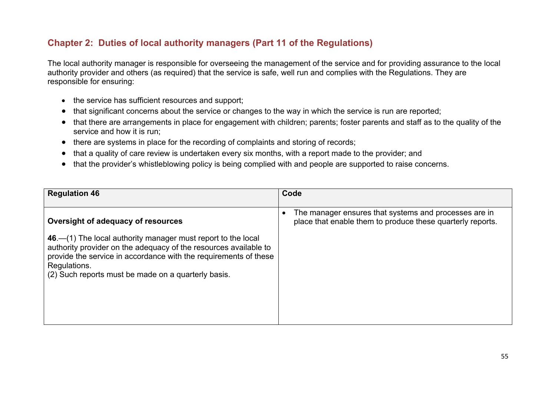#### **Chapter 2: Duties of local authority managers (Part 11 of the Regulations)**

The local authority manager is responsible for overseeing the management of the service and for providing assurance to the local authority provider and others (as required) that the service is safe, well run and complies with the Regulations. They are responsible for ensuring:

- the service has sufficient resources and support;
- that significant concerns about the service or changes to the way in which the service is run are reported;
- that there are arrangements in place for engagement with children; parents; foster parents and staff as to the quality of the service and how it is run;
- there are systems in place for the recording of complaints and storing of records;
- that a quality of care review is undertaken every six months, with a report made to the provider; and
- that the provider's whistleblowing policy is being complied with and people are supported to raise concerns.

| <b>Regulation 46</b>                                                                                                                                                    | Code                                                                                                                |
|-------------------------------------------------------------------------------------------------------------------------------------------------------------------------|---------------------------------------------------------------------------------------------------------------------|
| Oversight of adequacy of resources<br>46 – (1) The local authority manager must report to the local<br>authority provider on the adequacy of the resources available to | The manager ensures that systems and processes are in<br>place that enable them to produce these quarterly reports. |
| provide the service in accordance with the requirements of these<br>Regulations.<br>(2) Such reports must be made on a quarterly basis.                                 |                                                                                                                     |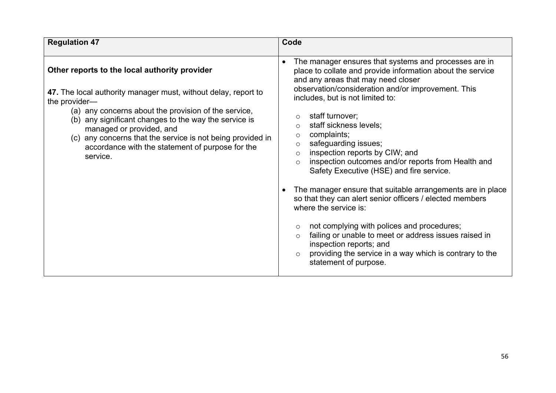| The manager ensures that systems and processes are in<br>$\bullet$<br>Other reports to the local authority provider<br>place to collate and provide information about the service<br>and any areas that may need closer<br>observation/consideration and/or improvement. This<br>47. The local authority manager must, without delay, report to<br>includes, but is not limited to:<br>the provider-<br>(a) any concerns about the provision of the service,<br>staff turnover;<br>$\circ$<br>(b) any significant changes to the way the service is<br>staff sickness levels;<br>$\circ$<br>managed or provided, and<br>complaints;<br>$\circ$<br>any concerns that the service is not being provided in<br>(C)<br>safeguarding issues;<br>$\circ$<br>accordance with the statement of purpose for the<br>inspection reports by CIW; and<br>$\circ$<br>service.<br>inspection outcomes and/or reports from Health and<br>$\circ$<br>Safety Executive (HSE) and fire service.<br>The manager ensure that suitable arrangements are in place<br>so that they can alert senior officers / elected members<br>where the service is:<br>not complying with polices and procedures;<br>$\circ$<br>failing or unable to meet or address issues raised in<br>$\circ$<br>inspection reports; and<br>$\circ$ | <b>Regulation 47</b> | Code                                                    |
|----------------------------------------------------------------------------------------------------------------------------------------------------------------------------------------------------------------------------------------------------------------------------------------------------------------------------------------------------------------------------------------------------------------------------------------------------------------------------------------------------------------------------------------------------------------------------------------------------------------------------------------------------------------------------------------------------------------------------------------------------------------------------------------------------------------------------------------------------------------------------------------------------------------------------------------------------------------------------------------------------------------------------------------------------------------------------------------------------------------------------------------------------------------------------------------------------------------------------------------------------------------------------------------------------|----------------------|---------------------------------------------------------|
| statement of purpose.                                                                                                                                                                                                                                                                                                                                                                                                                                                                                                                                                                                                                                                                                                                                                                                                                                                                                                                                                                                                                                                                                                                                                                                                                                                                              |                      | providing the service in a way which is contrary to the |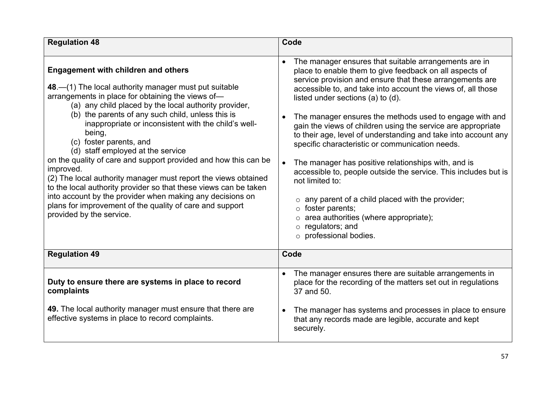| <b>Regulation 48</b>                                                                                                                                                                                                                                                                                                                                                                                                                                                                                                                                                                                                                                                                                                                                                                | Code                                                                                                                                                                                                                                                                                                                                                                                                                                                                                                                                                                                                                                                                                                                                                                                                                                                                                                |
|-------------------------------------------------------------------------------------------------------------------------------------------------------------------------------------------------------------------------------------------------------------------------------------------------------------------------------------------------------------------------------------------------------------------------------------------------------------------------------------------------------------------------------------------------------------------------------------------------------------------------------------------------------------------------------------------------------------------------------------------------------------------------------------|-----------------------------------------------------------------------------------------------------------------------------------------------------------------------------------------------------------------------------------------------------------------------------------------------------------------------------------------------------------------------------------------------------------------------------------------------------------------------------------------------------------------------------------------------------------------------------------------------------------------------------------------------------------------------------------------------------------------------------------------------------------------------------------------------------------------------------------------------------------------------------------------------------|
| <b>Engagement with children and others</b><br>48.—(1) The local authority manager must put suitable<br>arrangements in place for obtaining the views of-<br>(a) any child placed by the local authority provider,<br>(b) the parents of any such child, unless this is<br>inappropriate or inconsistent with the child's well-<br>being,<br>(c) foster parents, and<br>(d) staff employed at the service<br>on the quality of care and support provided and how this can be<br>improved.<br>(2) The local authority manager must report the views obtained<br>to the local authority provider so that these views can be taken<br>into account by the provider when making any decisions on<br>plans for improvement of the quality of care and support<br>provided by the service. | The manager ensures that suitable arrangements are in<br>place to enable them to give feedback on all aspects of<br>service provision and ensure that these arrangements are<br>accessible to, and take into account the views of, all those<br>listed under sections (a) to (d).<br>The manager ensures the methods used to engage with and<br>gain the views of children using the service are appropriate<br>to their age, level of understanding and take into account any<br>specific characteristic or communication needs.<br>The manager has positive relationships with, and is<br>$\bullet$<br>accessible to, people outside the service. This includes but is<br>not limited to:<br>$\circ$ any parent of a child placed with the provider;<br>foster parents;<br>$\circ$<br>$\circ$ area authorities (where appropriate);<br>regulators; and<br>$\circ$<br>$\circ$ professional bodies. |
| <b>Regulation 49</b>                                                                                                                                                                                                                                                                                                                                                                                                                                                                                                                                                                                                                                                                                                                                                                | Code                                                                                                                                                                                                                                                                                                                                                                                                                                                                                                                                                                                                                                                                                                                                                                                                                                                                                                |
| Duty to ensure there are systems in place to record<br>complaints<br>49. The local authority manager must ensure that there are<br>effective systems in place to record complaints.                                                                                                                                                                                                                                                                                                                                                                                                                                                                                                                                                                                                 | The manager ensures there are suitable arrangements in<br>place for the recording of the matters set out in regulations<br>37 and 50.<br>The manager has systems and processes in place to ensure                                                                                                                                                                                                                                                                                                                                                                                                                                                                                                                                                                                                                                                                                                   |
|                                                                                                                                                                                                                                                                                                                                                                                                                                                                                                                                                                                                                                                                                                                                                                                     | that any records made are legible, accurate and kept<br>securely.                                                                                                                                                                                                                                                                                                                                                                                                                                                                                                                                                                                                                                                                                                                                                                                                                                   |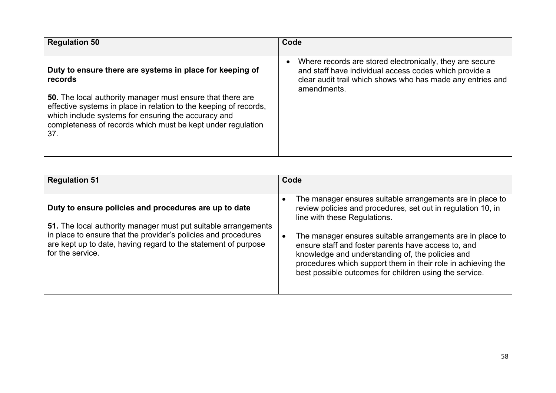| <b>Regulation 50</b>                                                                                                                                                                                                                                         | Code                                                                                                                                                                                            |
|--------------------------------------------------------------------------------------------------------------------------------------------------------------------------------------------------------------------------------------------------------------|-------------------------------------------------------------------------------------------------------------------------------------------------------------------------------------------------|
| Duty to ensure there are systems in place for keeping of<br>records                                                                                                                                                                                          | Where records are stored electronically, they are secure<br>and staff have individual access codes which provide a<br>clear audit trail which shows who has made any entries and<br>amendments. |
| 50. The local authority manager must ensure that there are<br>effective systems in place in relation to the keeping of records,<br>which include systems for ensuring the accuracy and<br>completeness of records which must be kept under regulation<br>37. |                                                                                                                                                                                                 |

| <b>Regulation 51</b>                                                                                                                                                                                                                                                            | Code                                                                                                                                                                                                                                                                                                                                           |
|---------------------------------------------------------------------------------------------------------------------------------------------------------------------------------------------------------------------------------------------------------------------------------|------------------------------------------------------------------------------------------------------------------------------------------------------------------------------------------------------------------------------------------------------------------------------------------------------------------------------------------------|
| Duty to ensure policies and procedures are up to date<br>51. The local authority manager must put suitable arrangements<br>in place to ensure that the provider's policies and procedures<br>are kept up to date, having regard to the statement of purpose<br>for the service. | The manager ensures suitable arrangements are in place to<br>review policies and procedures, set out in regulation 10, in<br>line with these Regulations.<br>The manager ensures suitable arrangements are in place to<br>$\bullet$<br>ensure staff and foster parents have access to, and<br>knowledge and understanding of, the policies and |
|                                                                                                                                                                                                                                                                                 | procedures which support them in their role in achieving the<br>best possible outcomes for children using the service.                                                                                                                                                                                                                         |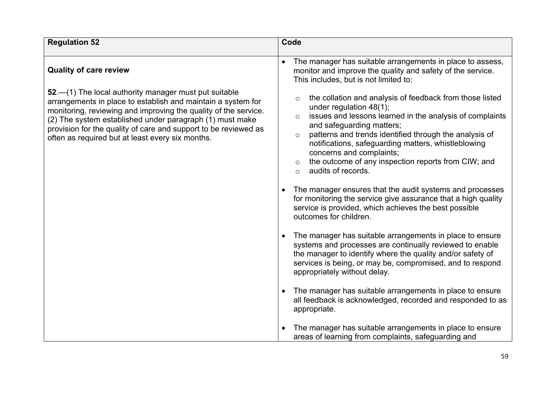| <b>Regulation 52</b>                                                                                                                                                                                                                               | Code                                                                                                                                                                                                                                                                                                                                                                                   |
|----------------------------------------------------------------------------------------------------------------------------------------------------------------------------------------------------------------------------------------------------|----------------------------------------------------------------------------------------------------------------------------------------------------------------------------------------------------------------------------------------------------------------------------------------------------------------------------------------------------------------------------------------|
| <b>Quality of care review</b><br>52. - (1) The local authority manager must put suitable<br>arrangements in place to establish and maintain a system for                                                                                           | The manager has suitable arrangements in place to assess,<br>monitor and improve the quality and safety of the service.<br>This includes, but is not limited to:<br>the collation and analysis of feedback from those listed<br>$\circ$                                                                                                                                                |
| monitoring, reviewing and improving the quality of the service.<br>(2) The system established under paragraph (1) must make<br>provision for the quality of care and support to be reviewed as<br>often as required but at least every six months. | under regulation 48(1);<br>issues and lessons learned in the analysis of complaints<br>$\circ$<br>and safeguarding matters;<br>patterns and trends identified through the analysis of<br>$\circ$<br>notifications, safeguarding matters, whistleblowing<br>concerns and complaints;<br>the outcome of any inspection reports from CIW; and<br>$\circ$<br>audits of records.<br>$\circ$ |
|                                                                                                                                                                                                                                                    | The manager ensures that the audit systems and processes<br>for monitoring the service give assurance that a high quality<br>service is provided, which achieves the best possible<br>outcomes for children.                                                                                                                                                                           |
|                                                                                                                                                                                                                                                    | The manager has suitable arrangements in place to ensure<br>systems and processes are continually reviewed to enable<br>the manager to identify where the quality and/or safety of<br>services is being, or may be, compromised, and to respond<br>appropriately without delay.                                                                                                        |
|                                                                                                                                                                                                                                                    | The manager has suitable arrangements in place to ensure<br>all feedback is acknowledged, recorded and responded to as<br>appropriate.                                                                                                                                                                                                                                                 |
|                                                                                                                                                                                                                                                    | The manager has suitable arrangements in place to ensure<br>areas of learning from complaints, safeguarding and                                                                                                                                                                                                                                                                        |